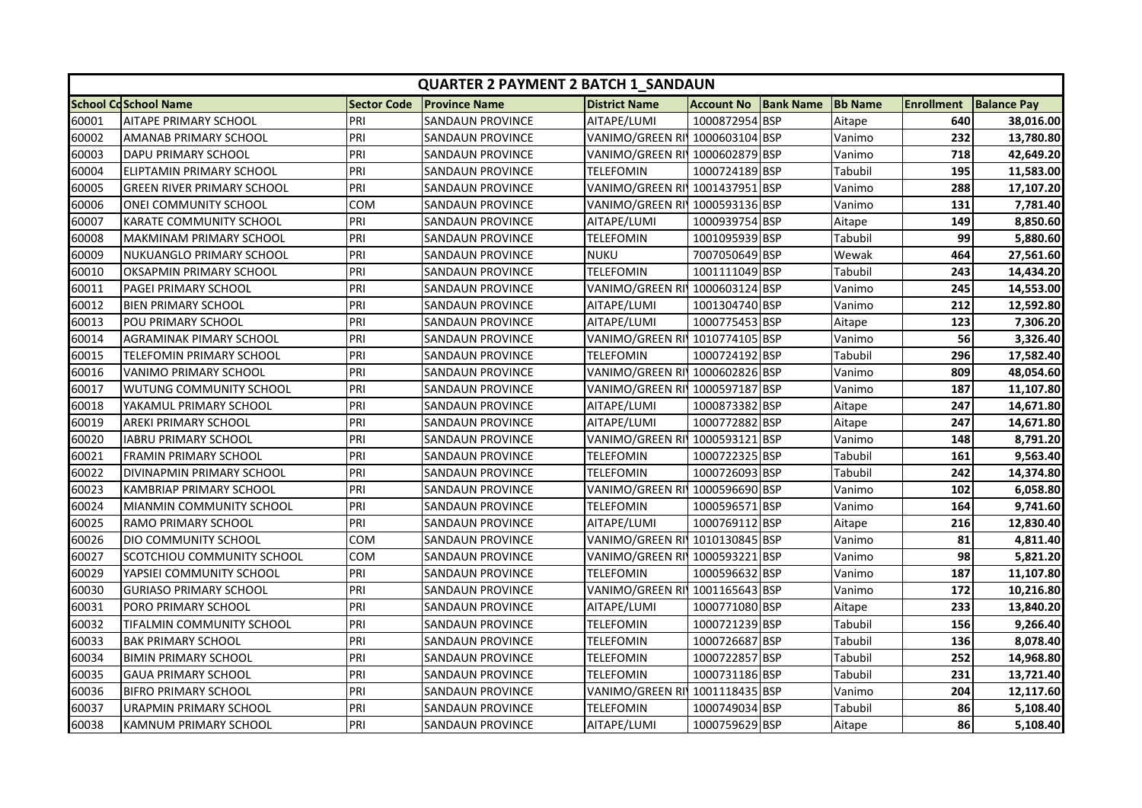|       | <b>QUARTER 2 PAYMENT 2 BATCH 1 SANDAUN</b> |                    |                         |                                |                   |                  |                |                   |                    |  |
|-------|--------------------------------------------|--------------------|-------------------------|--------------------------------|-------------------|------------------|----------------|-------------------|--------------------|--|
|       | <b>School CdSchool Name</b>                | <b>Sector Code</b> | <b>Province Name</b>    | <b>District Name</b>           | <b>Account No</b> | <b>Bank Name</b> | <b>Bb Name</b> | <b>Enrollment</b> | <b>Balance Pay</b> |  |
| 60001 | <b>AITAPE PRIMARY SCHOOL</b>               | PRI                | SANDAUN PROVINCE        | AITAPE/LUMI                    | 1000872954 BSP    |                  | Aitape         | 640               | 38,016.00          |  |
| 60002 | AMANAB PRIMARY SCHOOL                      | PRI                | <b>SANDAUN PROVINCE</b> | VANIMO/GREEN RI 1000603104 BSP |                   |                  | Vanimo         | 232               | 13,780.80          |  |
| 60003 | DAPU PRIMARY SCHOOL                        | PRI                | SANDAUN PROVINCE        | VANIMO/GREEN RI 1000602879 BSP |                   |                  | Vanimo         | 718               | 42,649.20          |  |
| 60004 | ELIPTAMIN PRIMARY SCHOOL                   | PRI                | SANDAUN PROVINCE        | TELEFOMIN                      | 1000724189 BSP    |                  | Tabubil        | 195               | 11,583.00          |  |
| 60005 | GREEN RIVER PRIMARY SCHOOL                 | PRI                | SANDAUN PROVINCE        | VANIMO/GREEN RI 1001437951 BSP |                   |                  | Vanimo         | 288               | 17,107.20          |  |
| 60006 | ONEI COMMUNITY SCHOOL                      | сом                | SANDAUN PROVINCE        | VANIMO/GREEN RI 1000593136 BSP |                   |                  | Vanimo         | 131               | 7,781.40           |  |
| 60007 | KARATE COMMUNITY SCHOOL                    | PRI                | SANDAUN PROVINCE        | AITAPE/LUMI                    | 1000939754 BSP    |                  | Aitape         | 149               | 8,850.60           |  |
| 60008 | MAKMINAM PRIMARY SCHOOL                    | PRI                | SANDAUN PROVINCE        | TELEFOMIN                      | 1001095939 BSP    |                  | Tabubil        | 99                | 5,880.60           |  |
| 60009 | NUKUANGLO PRIMARY SCHOOL                   | PRI                | SANDAUN PROVINCE        | <b>NUKU</b>                    | 7007050649 BSP    |                  | Wewak          | 464               | 27,561.60          |  |
| 60010 | OKSAPMIN PRIMARY SCHOOL                    | PRI                | SANDAUN PROVINCE        | <b>TELEFOMIN</b>               | 1001111049 BSP    |                  | Tabubil        | 243               | 14,434.20          |  |
| 60011 | PAGEI PRIMARY SCHOOL                       | PRI                | SANDAUN PROVINCE        | VANIMO/GREEN RI 1000603124 BSP |                   |                  | Vanimo         | 245               | 14,553.00          |  |
| 60012 | <b>BIEN PRIMARY SCHOOL</b>                 | PRI                | SANDAUN PROVINCE        | AITAPE/LUMI                    | 1001304740 BSP    |                  | Vanimo         | 212               | 12,592.80          |  |
| 60013 | POU PRIMARY SCHOOL                         | PRI                | SANDAUN PROVINCE        | AITAPE/LUMI                    | 1000775453 BSP    |                  | Aitape         | 123               | 7,306.20           |  |
| 60014 | AGRAMINAK PIMARY SCHOOL                    | PRI                | SANDAUN PROVINCE        | VANIMO/GREEN RI 1010774105 BSP |                   |                  | Vanimo         | 56                | 3,326.40           |  |
| 60015 | TELEFOMIN PRIMARY SCHOOL                   | PRI                | SANDAUN PROVINCE        | TELEFOMIN                      | 1000724192 BSP    |                  | Tabubil        | 296               | 17,582.40          |  |
| 60016 | VANIMO PRIMARY SCHOOL                      | PRI                | SANDAUN PROVINCE        | VANIMO/GREEN RI'               | 1000602826 BSP    |                  | Vanimo         | 809               | 48,054.60          |  |
| 60017 | WUTUNG COMMUNITY SCHOOL                    | PRI                | SANDAUN PROVINCE        | VANIMO/GREEN RI 1000597187 BSP |                   |                  | Vanimo         | 187               | 11,107.80          |  |
| 60018 | YAKAMUL PRIMARY SCHOOL                     | PRI                | SANDAUN PROVINCE        | AITAPE/LUMI                    | 1000873382 BSP    |                  | Aitape         | 247               | 14,671.80          |  |
| 60019 | <b>AREKI PRIMARY SCHOOL</b>                | PRI                | SANDAUN PROVINCE        | AITAPE/LUMI                    | 1000772882 BSP    |                  | Aitape         | 247               | 14,671.80          |  |
| 60020 | <b>IABRU PRIMARY SCHOOL</b>                | PRI                | SANDAUN PROVINCE        | VANIMO/GREEN RI 1000593121 BSP |                   |                  | Vanimo         | 148               | 8,791.20           |  |
| 60021 | <b>FRAMIN PRIMARY SCHOOL</b>               | PRI                | SANDAUN PROVINCE        | TELEFOMIN                      | 1000722325 BSP    |                  | Tabubil        | 161               | 9,563.40           |  |
| 60022 | DIVINAPMIN PRIMARY SCHOOL                  | PRI                | SANDAUN PROVINCE        | TELEFOMIN                      | 1000726093 BSP    |                  | Tabubil        | 242               | 14,374.80          |  |
| 60023 | KAMBRIAP PRIMARY SCHOOL                    | PRI                | SANDAUN PROVINCE        | VANIMO/GREEN RI                | 1000596690 BSP    |                  | Vanimo         | 102               | 6,058.80           |  |
| 60024 | MIANMIN COMMUNITY SCHOOL                   | PRI                | SANDAUN PROVINCE        | TELEFOMIN                      | 1000596571 BSP    |                  | Vanimo         | 164               | 9,741.60           |  |
| 60025 | RAMO PRIMARY SCHOOL                        | PRI                | SANDAUN PROVINCE        | AITAPE/LUMI                    | 1000769112 BSP    |                  | Aitape         | 216               | 12,830.40          |  |
| 60026 | DIO COMMUNITY SCHOOL                       | COM                | SANDAUN PROVINCE        | VANIMO/GREEN RI 1010130845 BSP |                   |                  | Vanimo         | 81                | 4,811.40           |  |
| 60027 | SCOTCHIOU COMMUNITY SCHOOL                 | <b>COM</b>         | SANDAUN PROVINCE        | VANIMO/GREEN RI 1000593221 BSP |                   |                  | Vanimo         | 98                | 5,821.20           |  |
| 60029 | YAPSIEI COMMUNITY SCHOOL                   | PRI                | SANDAUN PROVINCE        | <b>TELEFOMIN</b>               | 1000596632 BSP    |                  | Vanimo         | 187               | 11,107.80          |  |
| 60030 | <b>GURIASO PRIMARY SCHOOL</b>              | PRI                | SANDAUN PROVINCE        | VANIMO/GREEN RI 1001165643 BSP |                   |                  | Vanimo         | 172               | 10,216.80          |  |
| 60031 | PORO PRIMARY SCHOOL                        | PRI                | SANDAUN PROVINCE        | AITAPE/LUMI                    | 1000771080 BSP    |                  | Aitape         | 233               | 13,840.20          |  |
| 60032 | TIFALMIN COMMUNITY SCHOOL                  | PRI                | SANDAUN PROVINCE        | TELEFOMIN                      | 1000721239 BSP    |                  | Tabubil        | 156               | 9,266.40           |  |
| 60033 | <b>BAK PRIMARY SCHOOL</b>                  | PRI                | SANDAUN PROVINCE        | TELEFOMIN                      | 1000726687 BSP    |                  | Tabubil        | 136               | 8,078.40           |  |
| 60034 | <b>BIMIN PRIMARY SCHOOL</b>                | PRI                | SANDAUN PROVINCE        | TELEFOMIN                      | 1000722857 BSP    |                  | Tabubil        | 252               | 14,968.80          |  |
| 60035 | <b>GAUA PRIMARY SCHOOL</b>                 | PRI                | SANDAUN PROVINCE        | TELEFOMIN                      | 1000731186 BSP    |                  | Tabubil        | 231               | 13,721.40          |  |
| 60036 | <b>BIFRO PRIMARY SCHOOL</b>                | PRI                | SANDAUN PROVINCE        | VANIMO/GREEN RI 1001118435 BSP |                   |                  | Vanimo         | 204               | 12,117.60          |  |
| 60037 | URAPMIN PRIMARY SCHOOL                     | PRI                | SANDAUN PROVINCE        | TELEFOMIN                      | 1000749034 BSP    |                  | Tabubil        | 86                | 5,108.40           |  |
| 60038 | KAMNUM PRIMARY SCHOOL                      | PRI                | SANDAUN PROVINCE        | AITAPE/LUMI                    | 1000759629 BSP    |                  | Aitape         | 86                | 5,108.40           |  |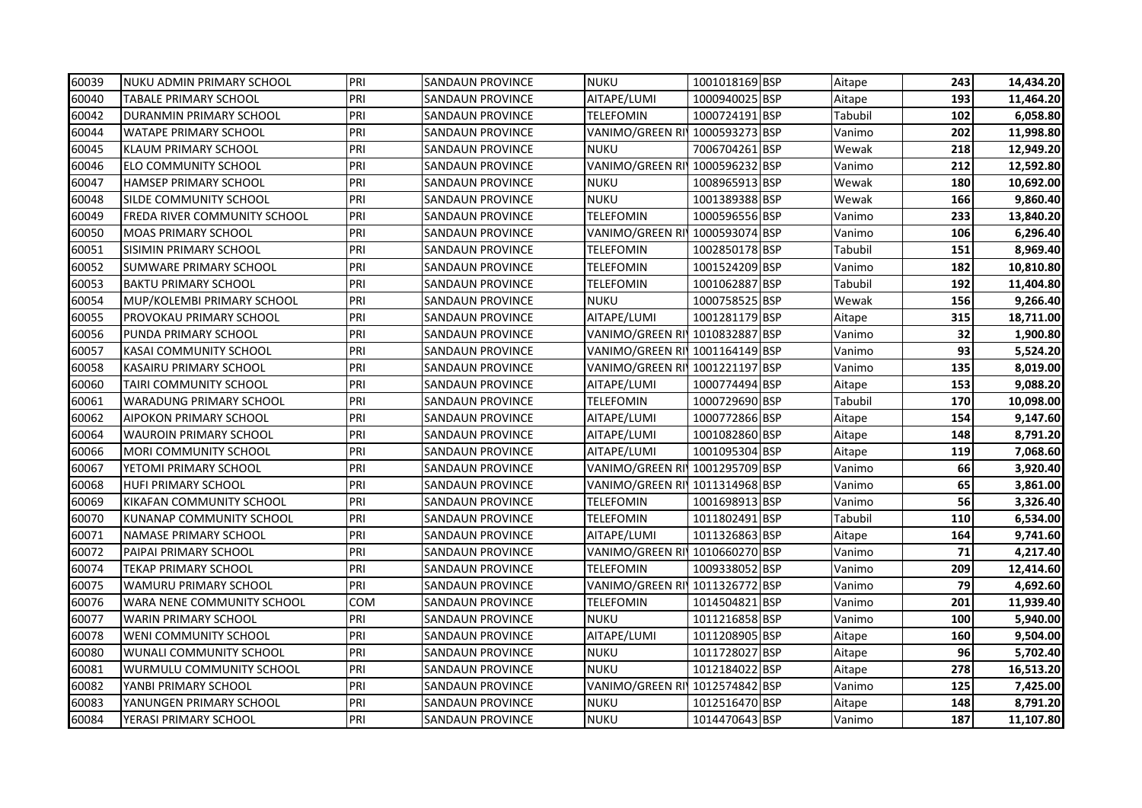| <b>NUKU</b><br>1001018169 BSP<br>243<br>14,434.20<br><b>NUKU ADMIN PRIMARY SCHOOL</b><br><b>SANDAUN PROVINCE</b><br>Aitape<br>PRI<br>193<br>60040<br>TABALE PRIMARY SCHOOL<br>AITAPE/LUMI<br>1000940025 BSP<br>11,464.20<br>SANDAUN PROVINCE<br>Aitape<br>PRI<br>1000724191 BSP<br>102<br>60042<br><b>DURANMIN PRIMARY SCHOOL</b><br>TELEFOMIN<br>Tabubil<br>6,058.80<br><b>SANDAUN PROVINCE</b><br>PRI<br>VANIMO/GREEN RI 1000593273 BSP<br>202<br>60044<br><b>WATAPE PRIMARY SCHOOL</b><br><b>SANDAUN PROVINCE</b><br>11,998.80<br>Vanimo<br>PRI<br><b>NUKU</b><br>60045<br><b>KLAUM PRIMARY SCHOOL</b><br><b>SANDAUN PROVINCE</b><br>7006704261 BSP<br>218<br>12,949.20<br>Wewak<br>PRI<br>VANIMO/GREEN RI 1000596232 BSP<br>60046<br>212<br>12,592.80<br>ELO COMMUNITY SCHOOL<br><b>SANDAUN PROVINCE</b><br>Vanimo<br>PRI<br>NUKU<br>1008965913 BSP<br>180<br>10,692.00<br><b>HAMSEP PRIMARY SCHOOL</b><br><b>SANDAUN PROVINCE</b><br>Wewak<br>SILDE COMMUNITY SCHOOL<br>PRI<br><b>SANDAUN PROVINCE</b><br><b>NUKU</b><br>1001389388 BSP<br>9,860.40<br>Wewak<br>166<br>60049<br>PRI<br>1000596556 BSP<br>233<br><b>FREDA RIVER COMMUNITY SCHOOL</b><br>SANDAUN PROVINCE<br>TELEFOMIN<br>13,840.20<br>Vanimo<br>PRI<br>VANIMO/GREEN RI 1000593074 BSP<br>106<br>60050<br><b>MOAS PRIMARY SCHOOL</b><br>SANDAUN PROVINCE<br>6,296.40<br>Vanimo<br>PRI<br>1002850178 BSP<br>151<br>60051<br>SISIMIN PRIMARY SCHOOL<br>SANDAUN PROVINCE<br>TELEFOMIN<br>Tabubil<br>8,969.40<br>PRI<br>1001524209 BSP<br>60052<br>182<br>10,810.80<br>SUMWARE PRIMARY SCHOOL<br>SANDAUN PROVINCE<br>TELEFOMIN<br>Vanimo<br>PRI<br>60053<br>1001062887 BSP<br>192<br><b>BAKTU PRIMARY SCHOOL</b><br>SANDAUN PROVINCE<br>TELEFOMIN<br>Tabubil<br>11,404.80<br>PRI<br>NUKU<br>1000758525 BSP<br>156<br>9,266.40<br>MUP/KOLEMBI PRIMARY SCHOOL<br><b>SANDAUN PROVINCE</b><br>Wewak<br>PRI<br>1001281179 BSP<br>315<br>18,711.00<br>PROVOKAU PRIMARY SCHOOL<br>AITAPE/LUMI<br>SANDAUN PROVINCE<br>Aitape<br>PRI<br>32<br>60056<br>VANIMO/GREEN RIJ 1010832887 BSP<br>1,900.80<br>PUNDA PRIMARY SCHOOL<br>SANDAUN PROVINCE<br>Vanimo<br>PRI<br>VANIMO/GREEN RI 1001164149 BSP<br>93<br>KASAI COMMUNITY SCHOOL<br><b>SANDAUN PROVINCE</b><br>5,524.20<br>Vanimo<br>PRI<br><b>KASAIRU PRIMARY SCHOOL</b><br>VANIMO/GREEN RI 1001221197 BSP<br>135<br>8,019.00<br>SANDAUN PROVINCE<br>Vanimo<br>PRI<br>60060<br>TAIRI COMMUNITY SCHOOL<br><b>SANDAUN PROVINCE</b><br>AITAPE/LUMI<br>1000774494 BSP<br>153<br>9,088.20<br>Aitape<br>60061<br>PRI<br>1000729690 BSP<br>170<br><b>WARADUNG PRIMARY SCHOOL</b><br><b>SANDAUN PROVINCE</b><br>TELEFOMIN<br>10,098.00<br>Tabubil<br>PRI<br>1000772866 BSP<br>60062<br><b>AIPOKON PRIMARY SCHOOL</b><br>SANDAUN PROVINCE<br>AITAPE/LUMI<br>154<br>9,147.60<br>Aitape<br>PRI<br>60064<br><b>WAUROIN PRIMARY SCHOOL</b><br>SANDAUN PROVINCE<br>AITAPE/LUMI<br>1001082860 BSP<br>148<br>8,791.20<br>Aitape<br>PRI<br>60066<br>1001095304 BSP<br>119<br>MORI COMMUNITY SCHOOL<br>SANDAUN PROVINCE<br>AITAPE/LUMI<br>7,068.60<br>Aitape<br>PRI<br>66<br>60067<br>VANIMO/GREEN RI 1001295709 BSP<br>3,920.40<br>YETOMI PRIMARY SCHOOL<br>SANDAUN PROVINCE<br>Vanimo<br>65<br>PRI<br>VANIMO/GREEN RI 1011314968 BSP<br>3,861.00<br>60068<br>HUFI PRIMARY SCHOOL<br>SANDAUN PROVINCE<br>Vanimo<br>PRI<br>1001698913 BSP<br>56<br>60069<br>KIKAFAN COMMUNITY SCHOOL<br><b>SANDAUN PROVINCE</b><br>TELEFOMIN<br>3,326.40<br>Vanimo<br>PRI<br>1011802491 BSP<br>110<br><b>KUNANAP COMMUNITY SCHOOL</b><br>SANDAUN PROVINCE<br>TELEFOMIN<br>Tabubil<br>6,534.00<br>PRI<br>1011326863 BSP<br>60071<br>AITAPE/LUMI<br>164<br>9,741.60<br>NAMASE PRIMARY SCHOOL<br>SANDAUN PROVINCE<br>Aitape<br>PRI<br>71<br>VANIMO/GREEN RI 1010660270 BSP<br>4,217.40<br>PAIPAI PRIMARY SCHOOL<br>SANDAUN PROVINCE<br>Vanimo<br>PRI<br>60074<br>TEKAP PRIMARY SCHOOL<br>SANDAUN PROVINCE<br>TELEFOMIN<br>1009338052 BSP<br>209<br>12,414.60<br>Vanimo<br>PRI<br>VANIMO/GREEN RI 1011326772 BSP<br>79<br>4,692.60<br><b>WAMURU PRIMARY SCHOOL</b><br>SANDAUN PROVINCE<br>Vanimo<br>60076<br>WARA NENE COMMUNITY SCHOOL<br>COM<br><b>TELEFOMIN</b><br>1014504821 BSP<br>201<br>11,939.40<br>SANDAUN PROVINCE<br>Vanimo<br>60077<br><b>WARIN PRIMARY SCHOOL</b><br>PRI<br><b>NUKU</b><br>1011216858 BSP<br>100<br>SANDAUN PROVINCE<br>5,940.00<br>Vanimo<br>PRI<br>1011208905 BSP<br>60078<br>160<br>9,504.00<br>WENI COMMUNITY SCHOOL<br>SANDAUN PROVINCE<br>AITAPE/LUMI<br>Aitape<br>PRI<br>NUKU<br>1011728027 BSP<br>96<br>WUNALI COMMUNITY SCHOOL<br>5,702.40<br>SANDAUN PROVINCE<br>Aitape<br>PRI<br>1012184022 BSP<br>NUKU<br>278<br>60081<br>WURMULU COMMUNITY SCHOOL<br><b>SANDAUN PROVINCE</b><br>16,513.20<br>Aitape<br>PRI<br>VANIMO/GREEN RI 1012574842 BSP<br>125<br>7,425.00<br>YANBI PRIMARY SCHOOL<br>SANDAUN PROVINCE<br>Vanimo<br>PRI<br><b>NUKU</b><br>1012516470 BSP<br>8,791.20<br>YANUNGEN PRIMARY SCHOOL<br>148<br>SANDAUN PROVINCE<br>Aitape<br>PRI<br><b>NUKU</b><br>1014470643 BSP<br>187<br>YERASI PRIMARY SCHOOL<br>11,107.80<br><b>SANDAUN PROVINCE</b><br>Vanimo |       |     |  |  |  |  |
|---------------------------------------------------------------------------------------------------------------------------------------------------------------------------------------------------------------------------------------------------------------------------------------------------------------------------------------------------------------------------------------------------------------------------------------------------------------------------------------------------------------------------------------------------------------------------------------------------------------------------------------------------------------------------------------------------------------------------------------------------------------------------------------------------------------------------------------------------------------------------------------------------------------------------------------------------------------------------------------------------------------------------------------------------------------------------------------------------------------------------------------------------------------------------------------------------------------------------------------------------------------------------------------------------------------------------------------------------------------------------------------------------------------------------------------------------------------------------------------------------------------------------------------------------------------------------------------------------------------------------------------------------------------------------------------------------------------------------------------------------------------------------------------------------------------------------------------------------------------------------------------------------------------------------------------------------------------------------------------------------------------------------------------------------------------------------------------------------------------------------------------------------------------------------------------------------------------------------------------------------------------------------------------------------------------------------------------------------------------------------------------------------------------------------------------------------------------------------------------------------------------------------------------------------------------------------------------------------------------------------------------------------------------------------------------------------------------------------------------------------------------------------------------------------------------------------------------------------------------------------------------------------------------------------------------------------------------------------------------------------------------------------------------------------------------------------------------------------------------------------------------------------------------------------------------------------------------------------------------------------------------------------------------------------------------------------------------------------------------------------------------------------------------------------------------------------------------------------------------------------------------------------------------------------------------------------------------------------------------------------------------------------------------------------------------------------------------------------------------------------------------------------------------------------------------------------------------------------------------------------------------------------------------------------------------------------------------------------------------------------------------------------------------------------------------------------------------------------------------------------------------------------------------------------------------------------------------------------------------------------------------------------------------------------------------------------------------------------------------------------------------------------------------------------------------------------------------------------------------------------------------------------------------------------------------------------------------------------------------------------------------------------------------------------------------------------------------------------------------------------------------------------------------------------------------------------------------------------------------------------------------------------------------------------------------------------------------------------------------------------------------------------------------------------------------------------------|-------|-----|--|--|--|--|
|                                                                                                                                                                                                                                                                                                                                                                                                                                                                                                                                                                                                                                                                                                                                                                                                                                                                                                                                                                                                                                                                                                                                                                                                                                                                                                                                                                                                                                                                                                                                                                                                                                                                                                                                                                                                                                                                                                                                                                                                                                                                                                                                                                                                                                                                                                                                                                                                                                                                                                                                                                                                                                                                                                                                                                                                                                                                                                                                                                                                                                                                                                                                                                                                                                                                                                                                                                                                                                                                                                                                                                                                                                                                                                                                                                                                                                                                                                                                                                                                                                                                                                                                                                                                                                                                                                                                                                                                                                                                                                                                                                                                                                                                                                                                                                                                                                                                                                                                                                                                                                                                                 | 60039 | PRI |  |  |  |  |
|                                                                                                                                                                                                                                                                                                                                                                                                                                                                                                                                                                                                                                                                                                                                                                                                                                                                                                                                                                                                                                                                                                                                                                                                                                                                                                                                                                                                                                                                                                                                                                                                                                                                                                                                                                                                                                                                                                                                                                                                                                                                                                                                                                                                                                                                                                                                                                                                                                                                                                                                                                                                                                                                                                                                                                                                                                                                                                                                                                                                                                                                                                                                                                                                                                                                                                                                                                                                                                                                                                                                                                                                                                                                                                                                                                                                                                                                                                                                                                                                                                                                                                                                                                                                                                                                                                                                                                                                                                                                                                                                                                                                                                                                                                                                                                                                                                                                                                                                                                                                                                                                                 |       |     |  |  |  |  |
|                                                                                                                                                                                                                                                                                                                                                                                                                                                                                                                                                                                                                                                                                                                                                                                                                                                                                                                                                                                                                                                                                                                                                                                                                                                                                                                                                                                                                                                                                                                                                                                                                                                                                                                                                                                                                                                                                                                                                                                                                                                                                                                                                                                                                                                                                                                                                                                                                                                                                                                                                                                                                                                                                                                                                                                                                                                                                                                                                                                                                                                                                                                                                                                                                                                                                                                                                                                                                                                                                                                                                                                                                                                                                                                                                                                                                                                                                                                                                                                                                                                                                                                                                                                                                                                                                                                                                                                                                                                                                                                                                                                                                                                                                                                                                                                                                                                                                                                                                                                                                                                                                 |       |     |  |  |  |  |
|                                                                                                                                                                                                                                                                                                                                                                                                                                                                                                                                                                                                                                                                                                                                                                                                                                                                                                                                                                                                                                                                                                                                                                                                                                                                                                                                                                                                                                                                                                                                                                                                                                                                                                                                                                                                                                                                                                                                                                                                                                                                                                                                                                                                                                                                                                                                                                                                                                                                                                                                                                                                                                                                                                                                                                                                                                                                                                                                                                                                                                                                                                                                                                                                                                                                                                                                                                                                                                                                                                                                                                                                                                                                                                                                                                                                                                                                                                                                                                                                                                                                                                                                                                                                                                                                                                                                                                                                                                                                                                                                                                                                                                                                                                                                                                                                                                                                                                                                                                                                                                                                                 |       |     |  |  |  |  |
|                                                                                                                                                                                                                                                                                                                                                                                                                                                                                                                                                                                                                                                                                                                                                                                                                                                                                                                                                                                                                                                                                                                                                                                                                                                                                                                                                                                                                                                                                                                                                                                                                                                                                                                                                                                                                                                                                                                                                                                                                                                                                                                                                                                                                                                                                                                                                                                                                                                                                                                                                                                                                                                                                                                                                                                                                                                                                                                                                                                                                                                                                                                                                                                                                                                                                                                                                                                                                                                                                                                                                                                                                                                                                                                                                                                                                                                                                                                                                                                                                                                                                                                                                                                                                                                                                                                                                                                                                                                                                                                                                                                                                                                                                                                                                                                                                                                                                                                                                                                                                                                                                 |       |     |  |  |  |  |
|                                                                                                                                                                                                                                                                                                                                                                                                                                                                                                                                                                                                                                                                                                                                                                                                                                                                                                                                                                                                                                                                                                                                                                                                                                                                                                                                                                                                                                                                                                                                                                                                                                                                                                                                                                                                                                                                                                                                                                                                                                                                                                                                                                                                                                                                                                                                                                                                                                                                                                                                                                                                                                                                                                                                                                                                                                                                                                                                                                                                                                                                                                                                                                                                                                                                                                                                                                                                                                                                                                                                                                                                                                                                                                                                                                                                                                                                                                                                                                                                                                                                                                                                                                                                                                                                                                                                                                                                                                                                                                                                                                                                                                                                                                                                                                                                                                                                                                                                                                                                                                                                                 |       |     |  |  |  |  |
|                                                                                                                                                                                                                                                                                                                                                                                                                                                                                                                                                                                                                                                                                                                                                                                                                                                                                                                                                                                                                                                                                                                                                                                                                                                                                                                                                                                                                                                                                                                                                                                                                                                                                                                                                                                                                                                                                                                                                                                                                                                                                                                                                                                                                                                                                                                                                                                                                                                                                                                                                                                                                                                                                                                                                                                                                                                                                                                                                                                                                                                                                                                                                                                                                                                                                                                                                                                                                                                                                                                                                                                                                                                                                                                                                                                                                                                                                                                                                                                                                                                                                                                                                                                                                                                                                                                                                                                                                                                                                                                                                                                                                                                                                                                                                                                                                                                                                                                                                                                                                                                                                 | 60047 |     |  |  |  |  |
|                                                                                                                                                                                                                                                                                                                                                                                                                                                                                                                                                                                                                                                                                                                                                                                                                                                                                                                                                                                                                                                                                                                                                                                                                                                                                                                                                                                                                                                                                                                                                                                                                                                                                                                                                                                                                                                                                                                                                                                                                                                                                                                                                                                                                                                                                                                                                                                                                                                                                                                                                                                                                                                                                                                                                                                                                                                                                                                                                                                                                                                                                                                                                                                                                                                                                                                                                                                                                                                                                                                                                                                                                                                                                                                                                                                                                                                                                                                                                                                                                                                                                                                                                                                                                                                                                                                                                                                                                                                                                                                                                                                                                                                                                                                                                                                                                                                                                                                                                                                                                                                                                 | 60048 |     |  |  |  |  |
|                                                                                                                                                                                                                                                                                                                                                                                                                                                                                                                                                                                                                                                                                                                                                                                                                                                                                                                                                                                                                                                                                                                                                                                                                                                                                                                                                                                                                                                                                                                                                                                                                                                                                                                                                                                                                                                                                                                                                                                                                                                                                                                                                                                                                                                                                                                                                                                                                                                                                                                                                                                                                                                                                                                                                                                                                                                                                                                                                                                                                                                                                                                                                                                                                                                                                                                                                                                                                                                                                                                                                                                                                                                                                                                                                                                                                                                                                                                                                                                                                                                                                                                                                                                                                                                                                                                                                                                                                                                                                                                                                                                                                                                                                                                                                                                                                                                                                                                                                                                                                                                                                 |       |     |  |  |  |  |
|                                                                                                                                                                                                                                                                                                                                                                                                                                                                                                                                                                                                                                                                                                                                                                                                                                                                                                                                                                                                                                                                                                                                                                                                                                                                                                                                                                                                                                                                                                                                                                                                                                                                                                                                                                                                                                                                                                                                                                                                                                                                                                                                                                                                                                                                                                                                                                                                                                                                                                                                                                                                                                                                                                                                                                                                                                                                                                                                                                                                                                                                                                                                                                                                                                                                                                                                                                                                                                                                                                                                                                                                                                                                                                                                                                                                                                                                                                                                                                                                                                                                                                                                                                                                                                                                                                                                                                                                                                                                                                                                                                                                                                                                                                                                                                                                                                                                                                                                                                                                                                                                                 |       |     |  |  |  |  |
|                                                                                                                                                                                                                                                                                                                                                                                                                                                                                                                                                                                                                                                                                                                                                                                                                                                                                                                                                                                                                                                                                                                                                                                                                                                                                                                                                                                                                                                                                                                                                                                                                                                                                                                                                                                                                                                                                                                                                                                                                                                                                                                                                                                                                                                                                                                                                                                                                                                                                                                                                                                                                                                                                                                                                                                                                                                                                                                                                                                                                                                                                                                                                                                                                                                                                                                                                                                                                                                                                                                                                                                                                                                                                                                                                                                                                                                                                                                                                                                                                                                                                                                                                                                                                                                                                                                                                                                                                                                                                                                                                                                                                                                                                                                                                                                                                                                                                                                                                                                                                                                                                 |       |     |  |  |  |  |
|                                                                                                                                                                                                                                                                                                                                                                                                                                                                                                                                                                                                                                                                                                                                                                                                                                                                                                                                                                                                                                                                                                                                                                                                                                                                                                                                                                                                                                                                                                                                                                                                                                                                                                                                                                                                                                                                                                                                                                                                                                                                                                                                                                                                                                                                                                                                                                                                                                                                                                                                                                                                                                                                                                                                                                                                                                                                                                                                                                                                                                                                                                                                                                                                                                                                                                                                                                                                                                                                                                                                                                                                                                                                                                                                                                                                                                                                                                                                                                                                                                                                                                                                                                                                                                                                                                                                                                                                                                                                                                                                                                                                                                                                                                                                                                                                                                                                                                                                                                                                                                                                                 |       |     |  |  |  |  |
|                                                                                                                                                                                                                                                                                                                                                                                                                                                                                                                                                                                                                                                                                                                                                                                                                                                                                                                                                                                                                                                                                                                                                                                                                                                                                                                                                                                                                                                                                                                                                                                                                                                                                                                                                                                                                                                                                                                                                                                                                                                                                                                                                                                                                                                                                                                                                                                                                                                                                                                                                                                                                                                                                                                                                                                                                                                                                                                                                                                                                                                                                                                                                                                                                                                                                                                                                                                                                                                                                                                                                                                                                                                                                                                                                                                                                                                                                                                                                                                                                                                                                                                                                                                                                                                                                                                                                                                                                                                                                                                                                                                                                                                                                                                                                                                                                                                                                                                                                                                                                                                                                 |       |     |  |  |  |  |
|                                                                                                                                                                                                                                                                                                                                                                                                                                                                                                                                                                                                                                                                                                                                                                                                                                                                                                                                                                                                                                                                                                                                                                                                                                                                                                                                                                                                                                                                                                                                                                                                                                                                                                                                                                                                                                                                                                                                                                                                                                                                                                                                                                                                                                                                                                                                                                                                                                                                                                                                                                                                                                                                                                                                                                                                                                                                                                                                                                                                                                                                                                                                                                                                                                                                                                                                                                                                                                                                                                                                                                                                                                                                                                                                                                                                                                                                                                                                                                                                                                                                                                                                                                                                                                                                                                                                                                                                                                                                                                                                                                                                                                                                                                                                                                                                                                                                                                                                                                                                                                                                                 | 60054 |     |  |  |  |  |
|                                                                                                                                                                                                                                                                                                                                                                                                                                                                                                                                                                                                                                                                                                                                                                                                                                                                                                                                                                                                                                                                                                                                                                                                                                                                                                                                                                                                                                                                                                                                                                                                                                                                                                                                                                                                                                                                                                                                                                                                                                                                                                                                                                                                                                                                                                                                                                                                                                                                                                                                                                                                                                                                                                                                                                                                                                                                                                                                                                                                                                                                                                                                                                                                                                                                                                                                                                                                                                                                                                                                                                                                                                                                                                                                                                                                                                                                                                                                                                                                                                                                                                                                                                                                                                                                                                                                                                                                                                                                                                                                                                                                                                                                                                                                                                                                                                                                                                                                                                                                                                                                                 | 60055 |     |  |  |  |  |
|                                                                                                                                                                                                                                                                                                                                                                                                                                                                                                                                                                                                                                                                                                                                                                                                                                                                                                                                                                                                                                                                                                                                                                                                                                                                                                                                                                                                                                                                                                                                                                                                                                                                                                                                                                                                                                                                                                                                                                                                                                                                                                                                                                                                                                                                                                                                                                                                                                                                                                                                                                                                                                                                                                                                                                                                                                                                                                                                                                                                                                                                                                                                                                                                                                                                                                                                                                                                                                                                                                                                                                                                                                                                                                                                                                                                                                                                                                                                                                                                                                                                                                                                                                                                                                                                                                                                                                                                                                                                                                                                                                                                                                                                                                                                                                                                                                                                                                                                                                                                                                                                                 |       |     |  |  |  |  |
|                                                                                                                                                                                                                                                                                                                                                                                                                                                                                                                                                                                                                                                                                                                                                                                                                                                                                                                                                                                                                                                                                                                                                                                                                                                                                                                                                                                                                                                                                                                                                                                                                                                                                                                                                                                                                                                                                                                                                                                                                                                                                                                                                                                                                                                                                                                                                                                                                                                                                                                                                                                                                                                                                                                                                                                                                                                                                                                                                                                                                                                                                                                                                                                                                                                                                                                                                                                                                                                                                                                                                                                                                                                                                                                                                                                                                                                                                                                                                                                                                                                                                                                                                                                                                                                                                                                                                                                                                                                                                                                                                                                                                                                                                                                                                                                                                                                                                                                                                                                                                                                                                 | 60057 |     |  |  |  |  |
|                                                                                                                                                                                                                                                                                                                                                                                                                                                                                                                                                                                                                                                                                                                                                                                                                                                                                                                                                                                                                                                                                                                                                                                                                                                                                                                                                                                                                                                                                                                                                                                                                                                                                                                                                                                                                                                                                                                                                                                                                                                                                                                                                                                                                                                                                                                                                                                                                                                                                                                                                                                                                                                                                                                                                                                                                                                                                                                                                                                                                                                                                                                                                                                                                                                                                                                                                                                                                                                                                                                                                                                                                                                                                                                                                                                                                                                                                                                                                                                                                                                                                                                                                                                                                                                                                                                                                                                                                                                                                                                                                                                                                                                                                                                                                                                                                                                                                                                                                                                                                                                                                 | 60058 |     |  |  |  |  |
|                                                                                                                                                                                                                                                                                                                                                                                                                                                                                                                                                                                                                                                                                                                                                                                                                                                                                                                                                                                                                                                                                                                                                                                                                                                                                                                                                                                                                                                                                                                                                                                                                                                                                                                                                                                                                                                                                                                                                                                                                                                                                                                                                                                                                                                                                                                                                                                                                                                                                                                                                                                                                                                                                                                                                                                                                                                                                                                                                                                                                                                                                                                                                                                                                                                                                                                                                                                                                                                                                                                                                                                                                                                                                                                                                                                                                                                                                                                                                                                                                                                                                                                                                                                                                                                                                                                                                                                                                                                                                                                                                                                                                                                                                                                                                                                                                                                                                                                                                                                                                                                                                 |       |     |  |  |  |  |
|                                                                                                                                                                                                                                                                                                                                                                                                                                                                                                                                                                                                                                                                                                                                                                                                                                                                                                                                                                                                                                                                                                                                                                                                                                                                                                                                                                                                                                                                                                                                                                                                                                                                                                                                                                                                                                                                                                                                                                                                                                                                                                                                                                                                                                                                                                                                                                                                                                                                                                                                                                                                                                                                                                                                                                                                                                                                                                                                                                                                                                                                                                                                                                                                                                                                                                                                                                                                                                                                                                                                                                                                                                                                                                                                                                                                                                                                                                                                                                                                                                                                                                                                                                                                                                                                                                                                                                                                                                                                                                                                                                                                                                                                                                                                                                                                                                                                                                                                                                                                                                                                                 |       |     |  |  |  |  |
|                                                                                                                                                                                                                                                                                                                                                                                                                                                                                                                                                                                                                                                                                                                                                                                                                                                                                                                                                                                                                                                                                                                                                                                                                                                                                                                                                                                                                                                                                                                                                                                                                                                                                                                                                                                                                                                                                                                                                                                                                                                                                                                                                                                                                                                                                                                                                                                                                                                                                                                                                                                                                                                                                                                                                                                                                                                                                                                                                                                                                                                                                                                                                                                                                                                                                                                                                                                                                                                                                                                                                                                                                                                                                                                                                                                                                                                                                                                                                                                                                                                                                                                                                                                                                                                                                                                                                                                                                                                                                                                                                                                                                                                                                                                                                                                                                                                                                                                                                                                                                                                                                 |       |     |  |  |  |  |
|                                                                                                                                                                                                                                                                                                                                                                                                                                                                                                                                                                                                                                                                                                                                                                                                                                                                                                                                                                                                                                                                                                                                                                                                                                                                                                                                                                                                                                                                                                                                                                                                                                                                                                                                                                                                                                                                                                                                                                                                                                                                                                                                                                                                                                                                                                                                                                                                                                                                                                                                                                                                                                                                                                                                                                                                                                                                                                                                                                                                                                                                                                                                                                                                                                                                                                                                                                                                                                                                                                                                                                                                                                                                                                                                                                                                                                                                                                                                                                                                                                                                                                                                                                                                                                                                                                                                                                                                                                                                                                                                                                                                                                                                                                                                                                                                                                                                                                                                                                                                                                                                                 |       |     |  |  |  |  |
|                                                                                                                                                                                                                                                                                                                                                                                                                                                                                                                                                                                                                                                                                                                                                                                                                                                                                                                                                                                                                                                                                                                                                                                                                                                                                                                                                                                                                                                                                                                                                                                                                                                                                                                                                                                                                                                                                                                                                                                                                                                                                                                                                                                                                                                                                                                                                                                                                                                                                                                                                                                                                                                                                                                                                                                                                                                                                                                                                                                                                                                                                                                                                                                                                                                                                                                                                                                                                                                                                                                                                                                                                                                                                                                                                                                                                                                                                                                                                                                                                                                                                                                                                                                                                                                                                                                                                                                                                                                                                                                                                                                                                                                                                                                                                                                                                                                                                                                                                                                                                                                                                 |       |     |  |  |  |  |
|                                                                                                                                                                                                                                                                                                                                                                                                                                                                                                                                                                                                                                                                                                                                                                                                                                                                                                                                                                                                                                                                                                                                                                                                                                                                                                                                                                                                                                                                                                                                                                                                                                                                                                                                                                                                                                                                                                                                                                                                                                                                                                                                                                                                                                                                                                                                                                                                                                                                                                                                                                                                                                                                                                                                                                                                                                                                                                                                                                                                                                                                                                                                                                                                                                                                                                                                                                                                                                                                                                                                                                                                                                                                                                                                                                                                                                                                                                                                                                                                                                                                                                                                                                                                                                                                                                                                                                                                                                                                                                                                                                                                                                                                                                                                                                                                                                                                                                                                                                                                                                                                                 |       |     |  |  |  |  |
|                                                                                                                                                                                                                                                                                                                                                                                                                                                                                                                                                                                                                                                                                                                                                                                                                                                                                                                                                                                                                                                                                                                                                                                                                                                                                                                                                                                                                                                                                                                                                                                                                                                                                                                                                                                                                                                                                                                                                                                                                                                                                                                                                                                                                                                                                                                                                                                                                                                                                                                                                                                                                                                                                                                                                                                                                                                                                                                                                                                                                                                                                                                                                                                                                                                                                                                                                                                                                                                                                                                                                                                                                                                                                                                                                                                                                                                                                                                                                                                                                                                                                                                                                                                                                                                                                                                                                                                                                                                                                                                                                                                                                                                                                                                                                                                                                                                                                                                                                                                                                                                                                 |       |     |  |  |  |  |
|                                                                                                                                                                                                                                                                                                                                                                                                                                                                                                                                                                                                                                                                                                                                                                                                                                                                                                                                                                                                                                                                                                                                                                                                                                                                                                                                                                                                                                                                                                                                                                                                                                                                                                                                                                                                                                                                                                                                                                                                                                                                                                                                                                                                                                                                                                                                                                                                                                                                                                                                                                                                                                                                                                                                                                                                                                                                                                                                                                                                                                                                                                                                                                                                                                                                                                                                                                                                                                                                                                                                                                                                                                                                                                                                                                                                                                                                                                                                                                                                                                                                                                                                                                                                                                                                                                                                                                                                                                                                                                                                                                                                                                                                                                                                                                                                                                                                                                                                                                                                                                                                                 |       |     |  |  |  |  |
|                                                                                                                                                                                                                                                                                                                                                                                                                                                                                                                                                                                                                                                                                                                                                                                                                                                                                                                                                                                                                                                                                                                                                                                                                                                                                                                                                                                                                                                                                                                                                                                                                                                                                                                                                                                                                                                                                                                                                                                                                                                                                                                                                                                                                                                                                                                                                                                                                                                                                                                                                                                                                                                                                                                                                                                                                                                                                                                                                                                                                                                                                                                                                                                                                                                                                                                                                                                                                                                                                                                                                                                                                                                                                                                                                                                                                                                                                                                                                                                                                                                                                                                                                                                                                                                                                                                                                                                                                                                                                                                                                                                                                                                                                                                                                                                                                                                                                                                                                                                                                                                                                 | 60070 |     |  |  |  |  |
|                                                                                                                                                                                                                                                                                                                                                                                                                                                                                                                                                                                                                                                                                                                                                                                                                                                                                                                                                                                                                                                                                                                                                                                                                                                                                                                                                                                                                                                                                                                                                                                                                                                                                                                                                                                                                                                                                                                                                                                                                                                                                                                                                                                                                                                                                                                                                                                                                                                                                                                                                                                                                                                                                                                                                                                                                                                                                                                                                                                                                                                                                                                                                                                                                                                                                                                                                                                                                                                                                                                                                                                                                                                                                                                                                                                                                                                                                                                                                                                                                                                                                                                                                                                                                                                                                                                                                                                                                                                                                                                                                                                                                                                                                                                                                                                                                                                                                                                                                                                                                                                                                 |       |     |  |  |  |  |
|                                                                                                                                                                                                                                                                                                                                                                                                                                                                                                                                                                                                                                                                                                                                                                                                                                                                                                                                                                                                                                                                                                                                                                                                                                                                                                                                                                                                                                                                                                                                                                                                                                                                                                                                                                                                                                                                                                                                                                                                                                                                                                                                                                                                                                                                                                                                                                                                                                                                                                                                                                                                                                                                                                                                                                                                                                                                                                                                                                                                                                                                                                                                                                                                                                                                                                                                                                                                                                                                                                                                                                                                                                                                                                                                                                                                                                                                                                                                                                                                                                                                                                                                                                                                                                                                                                                                                                                                                                                                                                                                                                                                                                                                                                                                                                                                                                                                                                                                                                                                                                                                                 | 60072 |     |  |  |  |  |
|                                                                                                                                                                                                                                                                                                                                                                                                                                                                                                                                                                                                                                                                                                                                                                                                                                                                                                                                                                                                                                                                                                                                                                                                                                                                                                                                                                                                                                                                                                                                                                                                                                                                                                                                                                                                                                                                                                                                                                                                                                                                                                                                                                                                                                                                                                                                                                                                                                                                                                                                                                                                                                                                                                                                                                                                                                                                                                                                                                                                                                                                                                                                                                                                                                                                                                                                                                                                                                                                                                                                                                                                                                                                                                                                                                                                                                                                                                                                                                                                                                                                                                                                                                                                                                                                                                                                                                                                                                                                                                                                                                                                                                                                                                                                                                                                                                                                                                                                                                                                                                                                                 |       |     |  |  |  |  |
|                                                                                                                                                                                                                                                                                                                                                                                                                                                                                                                                                                                                                                                                                                                                                                                                                                                                                                                                                                                                                                                                                                                                                                                                                                                                                                                                                                                                                                                                                                                                                                                                                                                                                                                                                                                                                                                                                                                                                                                                                                                                                                                                                                                                                                                                                                                                                                                                                                                                                                                                                                                                                                                                                                                                                                                                                                                                                                                                                                                                                                                                                                                                                                                                                                                                                                                                                                                                                                                                                                                                                                                                                                                                                                                                                                                                                                                                                                                                                                                                                                                                                                                                                                                                                                                                                                                                                                                                                                                                                                                                                                                                                                                                                                                                                                                                                                                                                                                                                                                                                                                                                 | 60075 |     |  |  |  |  |
|                                                                                                                                                                                                                                                                                                                                                                                                                                                                                                                                                                                                                                                                                                                                                                                                                                                                                                                                                                                                                                                                                                                                                                                                                                                                                                                                                                                                                                                                                                                                                                                                                                                                                                                                                                                                                                                                                                                                                                                                                                                                                                                                                                                                                                                                                                                                                                                                                                                                                                                                                                                                                                                                                                                                                                                                                                                                                                                                                                                                                                                                                                                                                                                                                                                                                                                                                                                                                                                                                                                                                                                                                                                                                                                                                                                                                                                                                                                                                                                                                                                                                                                                                                                                                                                                                                                                                                                                                                                                                                                                                                                                                                                                                                                                                                                                                                                                                                                                                                                                                                                                                 |       |     |  |  |  |  |
|                                                                                                                                                                                                                                                                                                                                                                                                                                                                                                                                                                                                                                                                                                                                                                                                                                                                                                                                                                                                                                                                                                                                                                                                                                                                                                                                                                                                                                                                                                                                                                                                                                                                                                                                                                                                                                                                                                                                                                                                                                                                                                                                                                                                                                                                                                                                                                                                                                                                                                                                                                                                                                                                                                                                                                                                                                                                                                                                                                                                                                                                                                                                                                                                                                                                                                                                                                                                                                                                                                                                                                                                                                                                                                                                                                                                                                                                                                                                                                                                                                                                                                                                                                                                                                                                                                                                                                                                                                                                                                                                                                                                                                                                                                                                                                                                                                                                                                                                                                                                                                                                                 |       |     |  |  |  |  |
|                                                                                                                                                                                                                                                                                                                                                                                                                                                                                                                                                                                                                                                                                                                                                                                                                                                                                                                                                                                                                                                                                                                                                                                                                                                                                                                                                                                                                                                                                                                                                                                                                                                                                                                                                                                                                                                                                                                                                                                                                                                                                                                                                                                                                                                                                                                                                                                                                                                                                                                                                                                                                                                                                                                                                                                                                                                                                                                                                                                                                                                                                                                                                                                                                                                                                                                                                                                                                                                                                                                                                                                                                                                                                                                                                                                                                                                                                                                                                                                                                                                                                                                                                                                                                                                                                                                                                                                                                                                                                                                                                                                                                                                                                                                                                                                                                                                                                                                                                                                                                                                                                 |       |     |  |  |  |  |
|                                                                                                                                                                                                                                                                                                                                                                                                                                                                                                                                                                                                                                                                                                                                                                                                                                                                                                                                                                                                                                                                                                                                                                                                                                                                                                                                                                                                                                                                                                                                                                                                                                                                                                                                                                                                                                                                                                                                                                                                                                                                                                                                                                                                                                                                                                                                                                                                                                                                                                                                                                                                                                                                                                                                                                                                                                                                                                                                                                                                                                                                                                                                                                                                                                                                                                                                                                                                                                                                                                                                                                                                                                                                                                                                                                                                                                                                                                                                                                                                                                                                                                                                                                                                                                                                                                                                                                                                                                                                                                                                                                                                                                                                                                                                                                                                                                                                                                                                                                                                                                                                                 | 60080 |     |  |  |  |  |
|                                                                                                                                                                                                                                                                                                                                                                                                                                                                                                                                                                                                                                                                                                                                                                                                                                                                                                                                                                                                                                                                                                                                                                                                                                                                                                                                                                                                                                                                                                                                                                                                                                                                                                                                                                                                                                                                                                                                                                                                                                                                                                                                                                                                                                                                                                                                                                                                                                                                                                                                                                                                                                                                                                                                                                                                                                                                                                                                                                                                                                                                                                                                                                                                                                                                                                                                                                                                                                                                                                                                                                                                                                                                                                                                                                                                                                                                                                                                                                                                                                                                                                                                                                                                                                                                                                                                                                                                                                                                                                                                                                                                                                                                                                                                                                                                                                                                                                                                                                                                                                                                                 |       |     |  |  |  |  |
|                                                                                                                                                                                                                                                                                                                                                                                                                                                                                                                                                                                                                                                                                                                                                                                                                                                                                                                                                                                                                                                                                                                                                                                                                                                                                                                                                                                                                                                                                                                                                                                                                                                                                                                                                                                                                                                                                                                                                                                                                                                                                                                                                                                                                                                                                                                                                                                                                                                                                                                                                                                                                                                                                                                                                                                                                                                                                                                                                                                                                                                                                                                                                                                                                                                                                                                                                                                                                                                                                                                                                                                                                                                                                                                                                                                                                                                                                                                                                                                                                                                                                                                                                                                                                                                                                                                                                                                                                                                                                                                                                                                                                                                                                                                                                                                                                                                                                                                                                                                                                                                                                 | 60082 |     |  |  |  |  |
|                                                                                                                                                                                                                                                                                                                                                                                                                                                                                                                                                                                                                                                                                                                                                                                                                                                                                                                                                                                                                                                                                                                                                                                                                                                                                                                                                                                                                                                                                                                                                                                                                                                                                                                                                                                                                                                                                                                                                                                                                                                                                                                                                                                                                                                                                                                                                                                                                                                                                                                                                                                                                                                                                                                                                                                                                                                                                                                                                                                                                                                                                                                                                                                                                                                                                                                                                                                                                                                                                                                                                                                                                                                                                                                                                                                                                                                                                                                                                                                                                                                                                                                                                                                                                                                                                                                                                                                                                                                                                                                                                                                                                                                                                                                                                                                                                                                                                                                                                                                                                                                                                 | 60083 |     |  |  |  |  |
|                                                                                                                                                                                                                                                                                                                                                                                                                                                                                                                                                                                                                                                                                                                                                                                                                                                                                                                                                                                                                                                                                                                                                                                                                                                                                                                                                                                                                                                                                                                                                                                                                                                                                                                                                                                                                                                                                                                                                                                                                                                                                                                                                                                                                                                                                                                                                                                                                                                                                                                                                                                                                                                                                                                                                                                                                                                                                                                                                                                                                                                                                                                                                                                                                                                                                                                                                                                                                                                                                                                                                                                                                                                                                                                                                                                                                                                                                                                                                                                                                                                                                                                                                                                                                                                                                                                                                                                                                                                                                                                                                                                                                                                                                                                                                                                                                                                                                                                                                                                                                                                                                 | 60084 |     |  |  |  |  |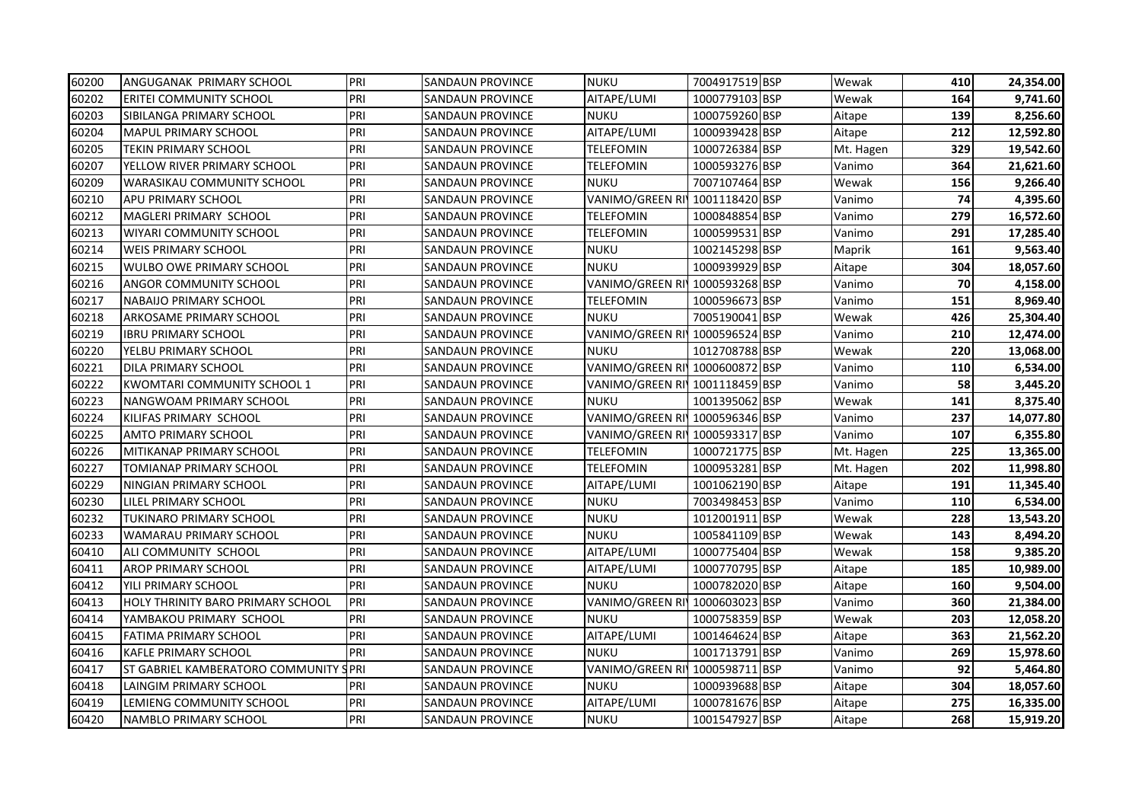| 60200 | ANGUGANAK PRIMARY SCHOOL                 | PRI  | <b>SANDAUN PROVINCE</b> | <b>NUKU</b>                    | 7004917519 BSP | Wewak     | 410 | 24,354.00 |
|-------|------------------------------------------|------|-------------------------|--------------------------------|----------------|-----------|-----|-----------|
| 60202 | ERITEI COMMUNITY SCHOOL                  | PRI  | SANDAUN PROVINCE        | AITAPE/LUMI                    | 1000779103 BSP | Wewak     | 164 | 9,741.60  |
| 60203 | SIBILANGA PRIMARY SCHOOL                 | PRI  | <b>SANDAUN PROVINCE</b> | <b>NUKU</b>                    | 1000759260 BSP | Aitape    | 139 | 8,256.60  |
| 60204 | <b>MAPUL PRIMARY SCHOOL</b>              | PRI  | <b>SANDAUN PROVINCE</b> | AITAPE/LUMI                    | 1000939428 BSP | Aitape    | 212 | 12,592.80 |
| 60205 | <b>TEKIN PRIMARY SCHOOL</b>              | PRI  | <b>SANDAUN PROVINCE</b> | TELEFOMIN                      | 1000726384 BSP | Mt. Hagen | 329 | 19,542.60 |
| 60207 | YELLOW RIVER PRIMARY SCHOOL              | PRI  | <b>SANDAUN PROVINCE</b> | TELEFOMIN                      | 1000593276 BSP | Vanimo    | 364 | 21,621.60 |
| 60209 | <b>WARASIKAU COMMUNITY SCHOOL</b>        | PRI  | <b>SANDAUN PROVINCE</b> | NUKU                           | 7007107464 BSP | Wewak     | 156 | 9,266.40  |
| 60210 | <b>APU PRIMARY SCHOOL</b>                | PRI  | <b>SANDAUN PROVINCE</b> | VANIMO/GREEN RI                | 1001118420 BSP | Vanimo    | 74  | 4,395.60  |
| 60212 | MAGLERI PRIMARY SCHOOL                   | PRI  | SANDAUN PROVINCE        | TELEFOMIN                      | 1000848854 BSP | Vanimo    | 279 | 16,572.60 |
| 60213 | <b>WIYARI COMMUNITY SCHOOL</b>           | PRI  | SANDAUN PROVINCE        | TELEFOMIN                      | 1000599531 BSP | Vanimo    | 291 | 17,285.40 |
| 60214 | <b>WEIS PRIMARY SCHOOL</b>               | PRI  | SANDAUN PROVINCE        | NUKU                           | 1002145298 BSP | Maprik    | 161 | 9,563.40  |
| 60215 | <b>WULBO OWE PRIMARY SCHOOL</b>          | PRI  | SANDAUN PROVINCE        | NUKU                           | 1000939929 BSP | Aitape    | 304 | 18,057.60 |
| 60216 | ANGOR COMMUNITY SCHOOL                   | PRI  | SANDAUN PROVINCE        | VANIMO/GREEN RI'               | 1000593268 BSP | Vanimo    | 70  | 4,158.00  |
| 60217 | <b>NABAIJO PRIMARY SCHOOL</b>            | PRI  | <b>SANDAUN PROVINCE</b> | TELEFOMIN                      | 1000596673 BSP | Vanimo    | 151 | 8,969.40  |
| 60218 | <b>ARKOSAME PRIMARY SCHOOL</b>           | PRI  | SANDAUN PROVINCE        | NUKU                           | 7005190041 BSP | Wewak     | 426 | 25,304.40 |
| 60219 | <b>IBRU PRIMARY SCHOOL</b>               | PRI  | SANDAUN PROVINCE        | VANIMO/GREEN RI 1000596524 BSP |                | Vanimo    | 210 | 12,474.00 |
| 60220 | YELBU PRIMARY SCHOOL                     | PRI  | SANDAUN PROVINCE        | NUKU                           | 1012708788 BSP | Wewak     | 220 | 13,068.00 |
| 60221 | DILA PRIMARY SCHOOL                      | PRI  | SANDAUN PROVINCE        | VANIMO/GREEN RI 1000600872 BSP |                | Vanimo    | 110 | 6,534.00  |
| 60222 | <b>KWOMTARI COMMUNITY SCHOOL 1</b>       | PRI  | <b>SANDAUN PROVINCE</b> | VANIMO/GREEN RI 1001118459 BSP |                | Vanimo    | 58  | 3,445.20  |
| 60223 | <b>NANGWOAM PRIMARY SCHOOL</b>           | PRI  | <b>SANDAUN PROVINCE</b> | NUKU                           | 1001395062 BSP | Wewak     | 141 | 8,375.40  |
| 60224 | KILIFAS PRIMARY SCHOOL                   | PRI  | SANDAUN PROVINCE        | VANIMO/GREEN RI 1000596346 BSP |                | Vanimo    | 237 | 14,077.80 |
| 60225 | <b>AMTO PRIMARY SCHOOL</b>               | PRI  | SANDAUN PROVINCE        | VANIMO/GREEN RI 1000593317 BSP |                | Vanimo    | 107 | 6,355.80  |
| 60226 | MITIKANAP PRIMARY SCHOOL                 | PRI  | SANDAUN PROVINCE        | TELEFOMIN                      | 1000721775 BSP | Mt. Hagen | 225 | 13,365.00 |
| 60227 | TOMIANAP PRIMARY SCHOOL                  | PRI  | SANDAUN PROVINCE        | TELEFOMIN                      | 1000953281 BSP | Mt. Hagen | 202 | 11,998.80 |
| 60229 | NINGIAN PRIMARY SCHOOL                   | PRI  | SANDAUN PROVINCE        | AITAPE/LUMI                    | 1001062190 BSP | Aitape    | 191 | 11,345.40 |
| 60230 | LILEL PRIMARY SCHOOL                     | PRI  | <b>SANDAUN PROVINCE</b> | <b>NUKU</b>                    | 7003498453 BSP | Vanimo    | 110 | 6,534.00  |
| 60232 | <b>TUKINARO PRIMARY SCHOOL</b>           | PRI  | SANDAUN PROVINCE        | NUKU                           | 1012001911 BSP | Wewak     | 228 | 13,543.20 |
| 60233 | WAMARAU PRIMARY SCHOOL                   | PRI  | SANDAUN PROVINCE        | <b>NUKU</b>                    | 1005841109 BSP | Wewak     | 143 | 8,494.20  |
| 60410 | ALI COMMUNITY SCHOOL                     | PRI  | SANDAUN PROVINCE        | AITAPE/LUMI                    | 1000775404 BSP | Wewak     | 158 | 9,385.20  |
| 60411 | <b>AROP PRIMARY SCHOOL</b>               | PRI  | <b>SANDAUN PROVINCE</b> | AITAPE/LUMI                    | 1000770795 BSP | Aitape    | 185 | 10,989.00 |
| 60412 | YILI PRIMARY SCHOOL                      | PRI  | SANDAUN PROVINCE        | NUKU                           | 1000782020 BSP | Aitape    | 160 | 9,504.00  |
| 60413 | <b>HOLY THRINITY BARO PRIMARY SCHOOL</b> | PRI  | SANDAUN PROVINCE        | VANIMO/GREEN RI 1000603023 BSP |                | Vanimo    | 360 | 21,384.00 |
| 60414 | YAMBAKOU PRIMARY SCHOOL                  | PRI  | SANDAUN PROVINCE        | <b>NUKU</b>                    | 1000758359 BSP | Wewak     | 203 | 12,058.20 |
| 60415 | <b>FATIMA PRIMARY SCHOOL</b>             | PRI  | SANDAUN PROVINCE        | AITAPE/LUMI                    | 1001464624 BSP | Aitape    | 363 | 21,562.20 |
| 60416 | <b>KAFLE PRIMARY SCHOOL</b>              | PRI  | SANDAUN PROVINCE        | NUKU                           | 1001713791 BSP | Vanimo    | 269 | 15,978.60 |
| 60417 | ST GABRIEL KAMBERATORO COMMUNITY         | SPRI | SANDAUN PROVINCE        | VANIMO/GREEN RI 1000598711 BSP |                | Vanimo    | 92  | 5,464.80  |
| 60418 | LAINGIM PRIMARY SCHOOL                   | PRI  | SANDAUN PROVINCE        | <b>NUKU</b>                    | 1000939688 BSP | Aitape    | 304 | 18,057.60 |
| 60419 | LEMIENG COMMUNITY SCHOOL                 | PRI  | SANDAUN PROVINCE        | AITAPE/LUMI                    | 1000781676 BSP | Aitape    | 275 | 16,335.00 |
| 60420 | NAMBLO PRIMARY SCHOOL                    | PRI  | SANDAUN PROVINCE        | <b>NUKU</b>                    | 1001547927 BSP | Aitape    | 268 | 15,919.20 |
|       |                                          |      |                         |                                |                |           |     |           |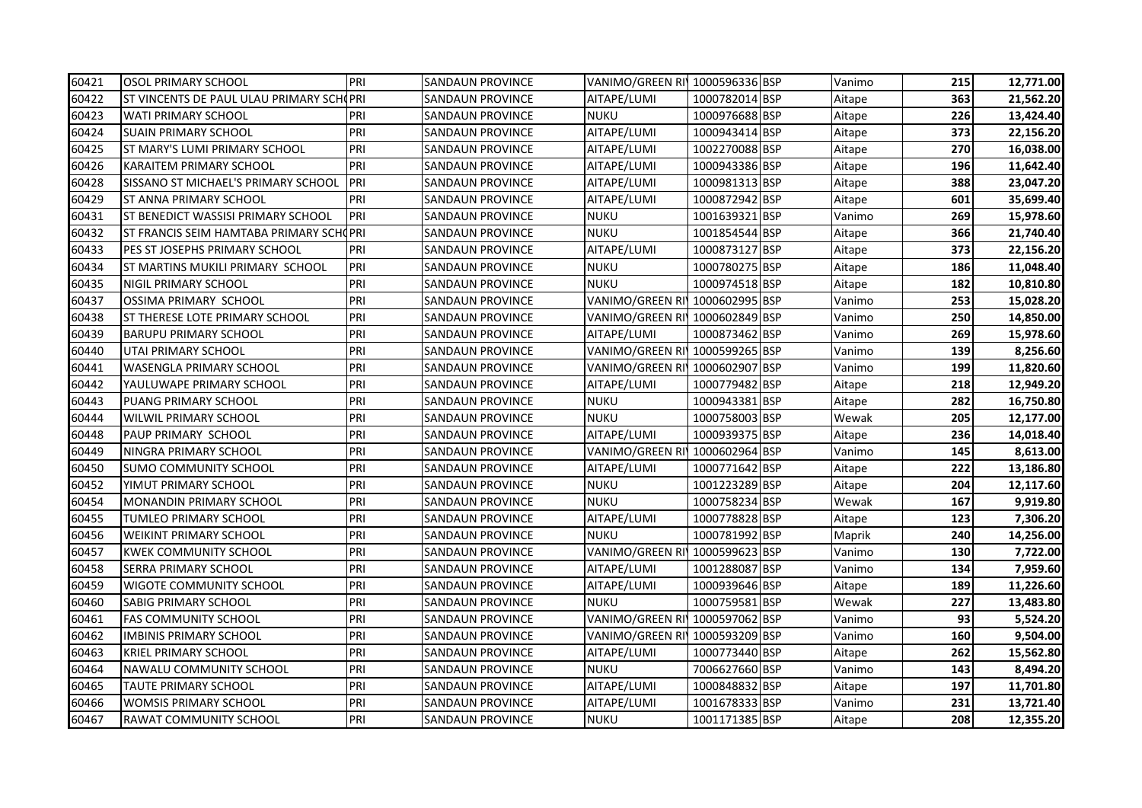| 60421 | OSOL PRIMARY SCHOOL                      | PRI | SANDAUN PROVINCE | VANIMO/GREEN RI 1000596336 BSP |                | Vanimo | 215 | 12,771.00 |
|-------|------------------------------------------|-----|------------------|--------------------------------|----------------|--------|-----|-----------|
| 60422 | ST VINCENTS DE PAUL ULAU PRIMARY SCHOPRI |     | SANDAUN PROVINCE | AITAPE/LUMI                    | 1000782014 BSP | Aitape | 363 | 21,562.20 |
| 60423 | WATI PRIMARY SCHOOL                      | PRI | SANDAUN PROVINCE | <b>NUKU</b>                    | 1000976688 BSP | Aitape | 226 | 13,424.40 |
| 60424 | <b>SUAIN PRIMARY SCHOOL</b>              | PRI | SANDAUN PROVINCE | AITAPE/LUMI                    | 1000943414 BSP | Aitape | 373 | 22,156.20 |
| 60425 | ST MARY'S LUMI PRIMARY SCHOOL            | PRI | SANDAUN PROVINCE | AITAPE/LUMI                    | 1002270088 BSP | Aitape | 270 | 16,038.00 |
| 60426 | KARAITEM PRIMARY SCHOOL                  | PRI | SANDAUN PROVINCE | AITAPE/LUMI                    | 1000943386 BSP | Aitape | 196 | 11,642.40 |
| 60428 | SISSANO ST MICHAEL'S PRIMARY SCHOOL      | PRI | SANDAUN PROVINCE | AITAPE/LUMI                    | 1000981313 BSP | Aitape | 388 | 23,047.20 |
| 60429 | ST ANNA PRIMARY SCHOOL                   | PRI | SANDAUN PROVINCE | AITAPE/LUMI                    | 1000872942 BSP | Aitape | 601 | 35,699.40 |
| 60431 | ST BENEDICT WASSISI PRIMARY SCHOOL       | PRI | SANDAUN PROVINCE | <b>NUKU</b>                    | 1001639321 BSP | Vanimo | 269 | 15,978.60 |
| 60432 | ST FRANCIS SEIM HAMTABA PRIMARY SCHOPRI  |     | SANDAUN PROVINCE | <b>NUKU</b>                    | 1001854544 BSP | Aitape | 366 | 21,740.40 |
| 60433 | PES ST JOSEPHS PRIMARY SCHOOL            | PRI | SANDAUN PROVINCE | AITAPE/LUMI                    | 1000873127 BSP | Aitape | 373 | 22,156.20 |
| 60434 | ST MARTINS MUKILI PRIMARY SCHOOL         | PRI | SANDAUN PROVINCE | <b>NUKU</b>                    | 1000780275 BSP | Aitape | 186 | 11,048.40 |
| 60435 | NIGIL PRIMARY SCHOOL                     | PRI | SANDAUN PROVINCE | <b>NUKU</b>                    | 1000974518 BSP | Aitape | 182 | 10,810.80 |
| 60437 | OSSIMA PRIMARY SCHOOL                    | PRI | SANDAUN PROVINCE | VANIMO/GREEN RI 1000602995 BSP |                | Vanimo | 253 | 15,028.20 |
| 60438 | ST THERESE LOTE PRIMARY SCHOOL           | PRI | SANDAUN PROVINCE | VANIMO/GREEN RI 1000602849 BSP |                | Vanimo | 250 | 14,850.00 |
| 60439 | <b>BARUPU PRIMARY SCHOOL</b>             | PRI | SANDAUN PROVINCE | AITAPE/LUMI                    | 1000873462 BSP | Vanimo | 269 | 15,978.60 |
| 60440 | UTAI PRIMARY SCHOOL                      | PRI | SANDAUN PROVINCE | VANIMO/GREEN RI 1000599265 BSP |                | Vanimo | 139 | 8,256.60  |
| 60441 | WASENGLA PRIMARY SCHOOL                  | PRI | SANDAUN PROVINCE | VANIMO/GREEN RI 1000602907 BSP |                | Vanimo | 199 | 11,820.60 |
| 60442 | YAULUWAPE PRIMARY SCHOOL                 | PRI | SANDAUN PROVINCE | AITAPE/LUMI                    | 1000779482 BSP | Aitape | 218 | 12,949.20 |
| 60443 | PUANG PRIMARY SCHOOL                     | PRI | SANDAUN PROVINCE | <b>NUKU</b>                    | 1000943381 BSP | Aitape | 282 | 16,750.80 |
| 60444 | WILWIL PRIMARY SCHOOL                    | PRI | SANDAUN PROVINCE | <b>NUKU</b>                    | 1000758003 BSP | Wewak  | 205 | 12,177.00 |
| 60448 | PAUP PRIMARY SCHOOL                      | PRI | SANDAUN PROVINCE | AITAPE/LUMI                    | 1000939375 BSP | Aitape | 236 | 14,018.40 |
| 60449 | NINGRA PRIMARY SCHOOL                    | PRI | SANDAUN PROVINCE | VANIMO/GREEN RI 1000602964 BSP |                | Vanimo | 145 | 8,613.00  |
| 60450 | SUMO COMMUNITY SCHOOL                    | PRI | SANDAUN PROVINCE | AITAPE/LUMI                    | 1000771642 BSP | Aitape | 222 | 13,186.80 |
| 60452 | YIMUT PRIMARY SCHOOL                     | PRI | SANDAUN PROVINCE | <b>NUKU</b>                    | 1001223289 BSP | Aitape | 204 | 12,117.60 |
| 60454 | MONANDIN PRIMARY SCHOOL                  | PRI | SANDAUN PROVINCE | <b>NUKU</b>                    | 1000758234 BSP | Wewak  | 167 | 9,919.80  |
| 60455 | TUMLEO PRIMARY SCHOOL                    | PRI | SANDAUN PROVINCE | AITAPE/LUMI                    | 1000778828 BSP | Aitape | 123 | 7,306.20  |
| 60456 | <b>WEIKINT PRIMARY SCHOOL</b>            | PRI | SANDAUN PROVINCE | <b>NUKU</b>                    | 1000781992 BSP | Maprik | 240 | 14,256.00 |
| 60457 | <b>KWEK COMMUNITY SCHOOL</b>             | PRI | SANDAUN PROVINCE | VANIMO/GREEN RI 1000599623 BSP |                | Vanimo | 130 | 7,722.00  |
| 60458 | SERRA PRIMARY SCHOOL                     | PRI | SANDAUN PROVINCE | AITAPE/LUMI                    | 1001288087 BSP | Vanimo | 134 | 7,959.60  |
| 60459 | WIGOTE COMMUNITY SCHOOL                  | PRI | SANDAUN PROVINCE | AITAPE/LUMI                    | 1000939646 BSP | Aitape | 189 | 11,226.60 |
| 60460 | <b>SABIG PRIMARY SCHOOL</b>              | PRI | SANDAUN PROVINCE | <b>NUKU</b>                    | 1000759581 BSP | Wewak  | 227 | 13,483.80 |
| 60461 | <b>FAS COMMUNITY SCHOOL</b>              | PRI | SANDAUN PROVINCE | VANIMO/GREEN RI 1000597062 BSP |                | Vanimo | 93  | 5,524.20  |
| 60462 | IMBINIS PRIMARY SCHOOL                   | PRI | SANDAUN PROVINCE | VANIMO/GREEN RI 1000593209 BSP |                | Vanimo | 160 | 9,504.00  |
| 60463 | KRIEL PRIMARY SCHOOL                     | PRI | SANDAUN PROVINCE | AITAPE/LUMI                    | 1000773440 BSP | Aitape | 262 | 15,562.80 |
| 60464 | NAWALU COMMUNITY SCHOOL                  | PRI | SANDAUN PROVINCE | <b>NUKU</b>                    | 7006627660 BSP | Vanimo | 143 | 8,494.20  |
| 60465 | TAUTE PRIMARY SCHOOL                     | PRI | SANDAUN PROVINCE | AITAPE/LUMI                    | 1000848832 BSP | Aitape | 197 | 11,701.80 |
| 60466 | WOMSIS PRIMARY SCHOOL                    | PRI | SANDAUN PROVINCE | AITAPE/LUMI                    | 1001678333 BSP | Vanimo | 231 | 13,721.40 |
| 60467 | RAWAT COMMUNITY SCHOOL                   | PRI | SANDAUN PROVINCE | <b>NUKU</b>                    | 1001171385 BSP | Aitape | 208 | 12,355.20 |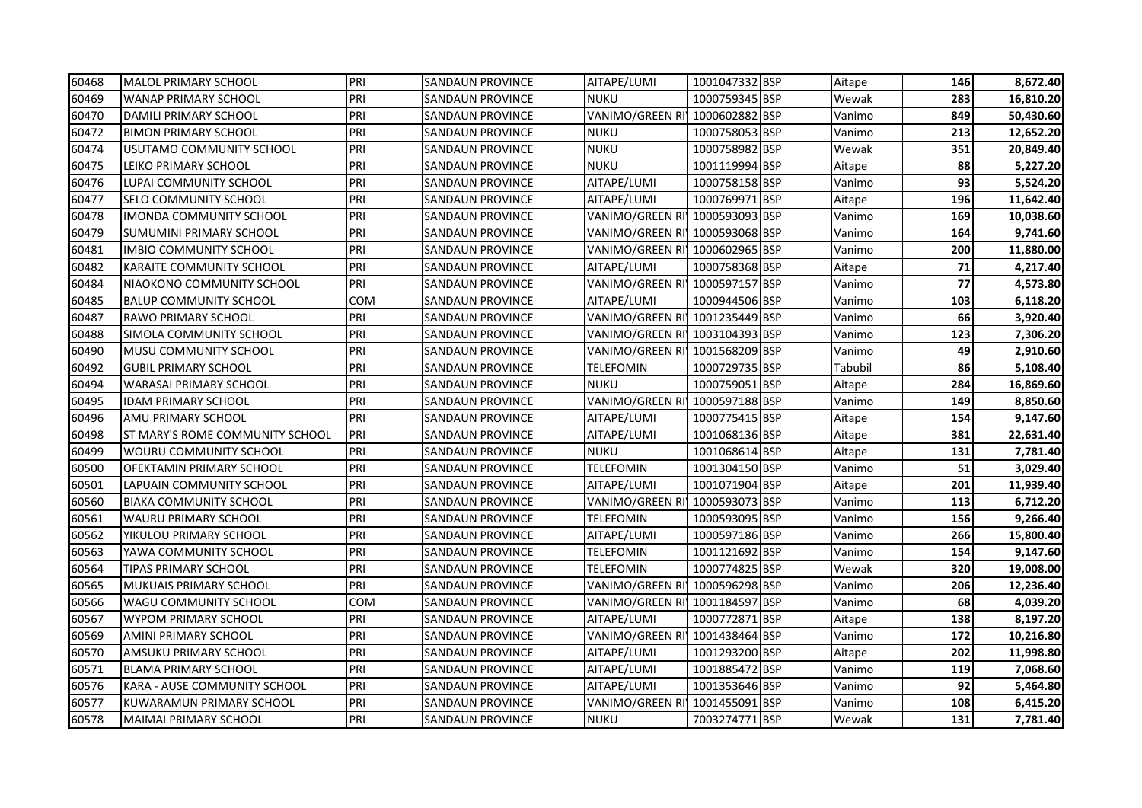| 60468 | <b>MALOL PRIMARY SCHOOL</b>     | PRI | <b>SANDAUN PROVINCE</b> | AITAPE/LUMI                    | 1001047332 BSP | Aitape  | 146 | 8,672.40  |
|-------|---------------------------------|-----|-------------------------|--------------------------------|----------------|---------|-----|-----------|
| 60469 | <b>WANAP PRIMARY SCHOOL</b>     | PRI | SANDAUN PROVINCE        | NUKU                           | 1000759345 BSP | Wewak   | 283 | 16,810.20 |
| 60470 | DAMILI PRIMARY SCHOOL           | PRI | <b>SANDAUN PROVINCE</b> | VANIMO/GREEN RI 1000602882 BSP |                | Vanimo  | 849 | 50,430.60 |
| 60472 | <b>BIMON PRIMARY SCHOOL</b>     | PRI | <b>SANDAUN PROVINCE</b> | <b>NUKU</b>                    | 1000758053 BSP | Vanimo  | 213 | 12,652.20 |
| 60474 | USUTAMO COMMUNITY SCHOOL        | PRI | <b>SANDAUN PROVINCE</b> | <b>NUKU</b>                    | 1000758982 BSP | Wewak   | 351 | 20,849.40 |
| 60475 | LEIKO PRIMARY SCHOOL            | PRI | SANDAUN PROVINCE        | <b>NUKU</b>                    | 1001119994 BSP | Aitape  | 88  | 5,227.20  |
| 60476 | LUPAI COMMUNITY SCHOOL          | PRI | <b>SANDAUN PROVINCE</b> | AITAPE/LUMI                    | 1000758158 BSP | Vanimo  | 93  | 5,524.20  |
| 60477 | <b>SELO COMMUNITY SCHOOL</b>    | PRI | <b>SANDAUN PROVINCE</b> | AITAPE/LUMI                    | 1000769971 BSP | Aitape  | 196 | 11,642.40 |
| 60478 | <b>IMONDA COMMUNITY SCHOOL</b>  | PRI | <b>SANDAUN PROVINCE</b> | VANIMO/GREEN RI 1000593093 BSP |                | Vanimo  | 169 | 10,038.60 |
| 60479 | <b>SUMUMINI PRIMARY SCHOOL</b>  | PRI | SANDAUN PROVINCE        | VANIMO/GREEN RI 1000593068 BSP |                | Vanimo  | 164 | 9,741.60  |
| 60481 | IMBIO COMMUNITY SCHOOL          | PRI | SANDAUN PROVINCE        | VANIMO/GREEN RI¶1000602965 BSP |                | Vanimo  | 200 | 11,880.00 |
| 60482 | <b>KARAITE COMMUNITY SCHOOL</b> | PRI | SANDAUN PROVINCE        | AITAPE/LUMI                    | 1000758368 BSP | Aitape  | 71  | 4,217.40  |
| 60484 | NIAOKONO COMMUNITY SCHOOL       | PRI | SANDAUN PROVINCE        | VANIMO/GREEN RI 1000597157 BSP |                | Vanimo  | 77  | 4,573.80  |
| 60485 | <b>BALUP COMMUNITY SCHOOL</b>   | COM | SANDAUN PROVINCE        | AITAPE/LUMI                    | 1000944506 BSP | Vanimo  | 103 | 6,118.20  |
| 60487 | <b>RAWO PRIMARY SCHOOL</b>      | PRI | SANDAUN PROVINCE        | VANIMO/GREEN RI 1001235449 BSP |                | Vanimo  | 66  | 3,920.40  |
| 60488 | SIMOLA COMMUNITY SCHOOL         | PRI | SANDAUN PROVINCE        | VANIMO/GREEN RI 1003104393 BSP |                | Vanimo  | 123 | 7,306.20  |
| 60490 | <b>MUSU COMMUNITY SCHOOL</b>    | PRI | <b>SANDAUN PROVINCE</b> | VANIMO/GREEN RI 1001568209 BSP |                | Vanimo  | 49  | 2,910.60  |
| 60492 | <b>GUBIL PRIMARY SCHOOL</b>     | PRI | <b>SANDAUN PROVINCE</b> | TELEFOMIN                      | 1000729735 BSP | Tabubil | 86  | 5,108.40  |
| 60494 | <b>WARASAI PRIMARY SCHOOL</b>   | PRI | SANDAUN PROVINCE        | NUKU                           | 1000759051 BSP | Aitape  | 284 | 16,869.60 |
| 60495 | <b>IDAM PRIMARY SCHOOL</b>      | PRI | <b>SANDAUN PROVINCE</b> | VANIMO/GREEN RI 1000597188 BSP |                | Vanimo  | 149 | 8,850.60  |
| 60496 | AMU PRIMARY SCHOOL              | PRI | SANDAUN PROVINCE        | AITAPE/LUMI                    | 1000775415 BSP | Aitape  | 154 | 9,147.60  |
| 60498 | ST MARY'S ROME COMMUNITY SCHOOL | PRI | SANDAUN PROVINCE        | AITAPE/LUMI                    | 1001068136 BSP | Aitape  | 381 | 22,631.40 |
| 60499 | <b>WOURU COMMUNITY SCHOOL</b>   | PRI | SANDAUN PROVINCE        | NUKU                           | 1001068614 BSP | Aitape  | 131 | 7,781.40  |
| 60500 | OFEKTAMIN PRIMARY SCHOOL        | PRI | SANDAUN PROVINCE        | <b>TELEFOMIN</b>               | 1001304150 BSP | Vanimo  | 51  | 3,029.40  |
| 60501 | LAPUAIN COMMUNITY SCHOOL        | PRI | SANDAUN PROVINCE        | AITAPE/LUMI                    | 1001071904 BSP | Aitape  | 201 | 11,939.40 |
| 60560 | <b>BIAKA COMMUNITY SCHOOL</b>   | PRI | SANDAUN PROVINCE        | VANIMO/GREEN RI 1000593073 BSP |                | Vanimo  | 113 | 6,712.20  |
| 60561 | <b>WAURU PRIMARY SCHOOL</b>     | PRI | SANDAUN PROVINCE        | <b>TELEFOMIN</b>               | 1000593095 BSP | Vanimo  | 156 | 9,266.40  |
| 60562 | YIKULOU PRIMARY SCHOOL          | PRI | <b>SANDAUN PROVINCE</b> | AITAPE/LUMI                    | 1000597186 BSP | Vanimo  | 266 | 15,800.40 |
| 60563 | YAWA COMMUNITY SCHOOL           | PRI | SANDAUN PROVINCE        | TELEFOMIN                      | 1001121692 BSP | Vanimo  | 154 | 9,147.60  |
| 60564 | TIPAS PRIMARY SCHOOL            | PRI | SANDAUN PROVINCE        | TELEFOMIN                      | 1000774825 BSP | Wewak   | 320 | 19,008.00 |
| 60565 | <b>MUKUAIS PRIMARY SCHOOL</b>   | PRI | <b>SANDAUN PROVINCE</b> | VANIMO/GREEN RI 1000596298 BSP |                | Vanimo  | 206 | 12,236.40 |
| 60566 | <b>WAGU COMMUNITY SCHOOL</b>    | COM | SANDAUN PROVINCE        | VANIMO/GREEN RI 1001184597 BSP |                | Vanimo  | 68  | 4,039.20  |
| 60567 | <b>WYPOM PRIMARY SCHOOL</b>     | PRI | SANDAUN PROVINCE        | AITAPE/LUMI                    | 1000772871 BSP | Aitape  | 138 | 8,197.20  |
| 60569 | AMINI PRIMARY SCHOOL            | PRI | SANDAUN PROVINCE        | VANIMO/GREEN RI 1001438464 BSP |                | Vanimo  | 172 | 10,216.80 |
| 60570 | AMSUKU PRIMARY SCHOOL           | PRI | SANDAUN PROVINCE        | AITAPE/LUMI                    | 1001293200 BSP | Aitape  | 202 | 11,998.80 |
| 60571 | <b>BLAMA PRIMARY SCHOOL</b>     | PRI | <b>SANDAUN PROVINCE</b> | AITAPE/LUMI                    | 1001885472 BSP | Vanimo  | 119 | 7,068.60  |
| 60576 | KARA - AUSE COMMUNITY SCHOOL    | PRI | SANDAUN PROVINCE        | AITAPE/LUMI                    | 1001353646 BSP | Vanimo  | 92  | 5,464.80  |
| 60577 | KUWARAMUN PRIMARY SCHOOL        | PRI | SANDAUN PROVINCE        | VANIMO/GREEN RI 1001455091 BSP |                | Vanimo  | 108 | 6,415.20  |
| 60578 | MAIMAI PRIMARY SCHOOL           | PRI | <b>SANDAUN PROVINCE</b> | <b>NUKU</b>                    | 7003274771 BSP | Wewak   | 131 | 7,781.40  |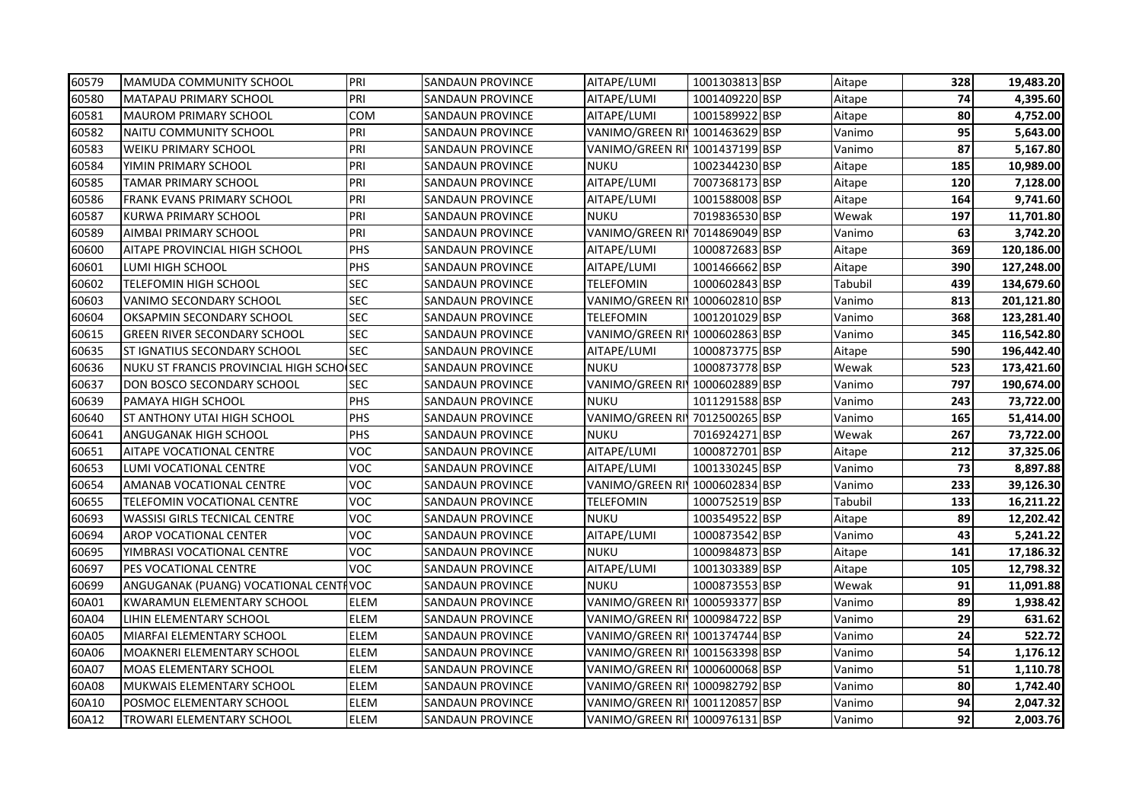| 60579 | MAMUDA COMMUNITY SCHOOL                  | PRI         | <b>SANDAUN PROVINCE</b> | AITAPE/LUMI                    | 1001303813 BSP | Aitape  | 328 | 19,483.20  |
|-------|------------------------------------------|-------------|-------------------------|--------------------------------|----------------|---------|-----|------------|
| 60580 | MATAPAU PRIMARY SCHOOL                   | PRI         | SANDAUN PROVINCE        | AITAPE/LUMI                    | 1001409220 BSP | Aitape  | 74  | 4,395.60   |
| 60581 | <b>MAUROM PRIMARY SCHOOL</b>             | <b>COM</b>  | <b>SANDAUN PROVINCE</b> | AITAPE/LUMI                    | 1001589922 BSP | Aitape  | 80  | 4,752.00   |
| 60582 | NAITU COMMUNITY SCHOOL                   | PRI         | SANDAUN PROVINCE        | VANIMO/GREEN RI 1001463629 BSP |                | Vanimo  | 95  | 5,643.00   |
| 60583 | <b>WEIKU PRIMARY SCHOOL</b>              | PRI         | <b>SANDAUN PROVINCE</b> | VANIMO/GREEN RI 1001437199 BSP |                | Vanimo  | 87  | 5,167.80   |
| 60584 | YIMIN PRIMARY SCHOOL                     | PRI         | <b>SANDAUN PROVINCE</b> | <b>NUKU</b>                    | 1002344230 BSP | Aitape  | 185 | 10,989.00  |
| 60585 | <b>TAMAR PRIMARY SCHOOL</b>              | PRI         | <b>SANDAUN PROVINCE</b> | AITAPE/LUMI                    | 7007368173 BSP | Aitape  | 120 | 7,128.00   |
| 60586 | <b>FRANK EVANS PRIMARY SCHOOL</b>        | PRI         | SANDAUN PROVINCE        | AITAPE/LUMI                    | 1001588008 BSP | Aitape  | 164 | 9,741.60   |
| 60587 | KURWA PRIMARY SCHOOL                     | PRI         | SANDAUN PROVINCE        | NUKU                           | 7019836530 BSP | Wewak   | 197 | 11,701.80  |
| 60589 | AIMBAI PRIMARY SCHOOL                    | PRI         | SANDAUN PROVINCE        | VANIMO/GREEN RI 7014869049 BSP |                | Vanimo  | 63  | 3,742.20   |
| 60600 | AITAPE PROVINCIAL HIGH SCHOOL            | PHS         | SANDAUN PROVINCE        | AITAPE/LUMI                    | 1000872683 BSP | Aitape  | 369 | 120,186.00 |
| 60601 | LUMI HIGH SCHOOL                         | PHS         | SANDAUN PROVINCE        | AITAPE/LUMI                    | 1001466662 BSP | Aitape  | 390 | 127,248.00 |
| 60602 | TELEFOMIN HIGH SCHOOL                    | <b>SEC</b>  | SANDAUN PROVINCE        | TELEFOMIN                      | 1000602843 BSP | Tabubil | 439 | 134,679.60 |
| 60603 | VANIMO SECONDARY SCHOOL                  | <b>SEC</b>  | SANDAUN PROVINCE        | VANIMO/GREEN RI 1000602810 BSP |                | Vanimo  | 813 | 201,121.80 |
| 60604 | OKSAPMIN SECONDARY SCHOOL                | <b>SEC</b>  | SANDAUN PROVINCE        | TELEFOMIN                      | 1001201029 BSP | Vanimo  | 368 | 123,281.40 |
| 60615 | <b>GREEN RIVER SECONDARY SCHOOL</b>      | <b>SEC</b>  | SANDAUN PROVINCE        | VANIMO/GREEN RI 1000602863 BSP |                | Vanimo  | 345 | 116,542.80 |
| 60635 | <b>ST IGNATIUS SECONDARY SCHOOL</b>      | <b>SEC</b>  | <b>SANDAUN PROVINCE</b> | AITAPE/LUMI                    | 1000873775 BSP | Aitape  | 590 | 196,442.40 |
| 60636 | NUKU ST FRANCIS PROVINCIAL HIGH SCHO SEC |             | <b>SANDAUN PROVINCE</b> | <b>NUKU</b>                    | 1000873778 BSP | Wewak   | 523 | 173,421.60 |
| 60637 | DON BOSCO SECONDARY SCHOOL               | <b>SEC</b>  | SANDAUN PROVINCE        | VANIMO/GREEN RI                | 1000602889 BSP | Vanimo  | 797 | 190,674.00 |
| 60639 | PAMAYA HIGH SCHOOL                       | PHS         | SANDAUN PROVINCE        | <b>NUKU</b>                    | 1011291588 BSP | Vanimo  | 243 | 73,722.00  |
| 60640 | <b>ST ANTHONY UTAI HIGH SCHOOL</b>       | PHS         | SANDAUN PROVINCE        | VANIMO/GREEN RI 7012500265 BSP |                | Vanimo  | 165 | 51,414.00  |
| 60641 | ANGUGANAK HIGH SCHOOL                    | PHS         | SANDAUN PROVINCE        | <b>NUKU</b>                    | 7016924271 BSP | Wewak   | 267 | 73,722.00  |
| 60651 | AITAPE VOCATIONAL CENTRE                 | <b>VOC</b>  | SANDAUN PROVINCE        | AITAPE/LUMI                    | 1000872701 BSP | Aitape  | 212 | 37,325.06  |
| 60653 | LUMI VOCATIONAL CENTRE                   | <b>VOC</b>  | SANDAUN PROVINCE        | AITAPE/LUMI                    | 1001330245 BSP | Vanimo  | 73  | 8,897.88   |
| 60654 | AMANAB VOCATIONAL CENTRE                 | <b>VOC</b>  | SANDAUN PROVINCE        | VANIMO/GREEN RI 1000602834 BSP |                | Vanimo  | 233 | 39,126.30  |
| 60655 | TELEFOMIN VOCATIONAL CENTRE              | <b>VOC</b>  | SANDAUN PROVINCE        | TELEFOMIN                      | 1000752519 BSP | Tabubil | 133 | 16,211.22  |
| 60693 | <b>WASSISI GIRLS TECNICAL CENTRE</b>     | <b>VOC</b>  | <b>SANDAUN PROVINCE</b> | <b>NUKU</b>                    | 1003549522 BSP | Aitape  | 89  | 12,202.42  |
| 60694 | <b>AROP VOCATIONAL CENTER</b>            | <b>VOC</b>  | <b>SANDAUN PROVINCE</b> | AITAPE/LUMI                    | 1000873542 BSP | Vanimo  | 43  | 5,241.22   |
| 60695 | YIMBRASI VOCATIONAL CENTRE               | <b>VOC</b>  | <b>SANDAUN PROVINCE</b> | <b>NUKU</b>                    | 1000984873 BSP | Aitape  | 141 | 17,186.32  |
| 60697 | PES VOCATIONAL CENTRE                    | <b>VOC</b>  | <b>SANDAUN PROVINCE</b> | AITAPE/LUMI                    | 1001303389 BSP | Aitape  | 105 | 12,798.32  |
| 60699 | ANGUGANAK (PUANG) VOCATIONAL CENTIVOC    |             | SANDAUN PROVINCE        | <b>NUKU</b>                    | 1000873553 BSP | Wewak   | 91  | 11,091.88  |
| 60A01 | <b>KWARAMUN ELEMENTARY SCHOOL</b>        | <b>ELEM</b> | SANDAUN PROVINCE        | VANIMO/GREEN RI 1000593377 BSP |                | Vanimo  | 89  | 1,938.42   |
| 60A04 | LIHIN ELEMENTARY SCHOOL                  | ELEM        | SANDAUN PROVINCE        | VANIMO/GREEN RI 1000984722 BSP |                | Vanimo  | 29  | 631.62     |
| 60A05 | MIARFAI ELEMENTARY SCHOOL                | ELEM        | <b>SANDAUN PROVINCE</b> | VANIMO/GREEN RI 1001374744 BSP |                | Vanimo  | 24  | 522.72     |
| 60A06 | MOAKNERI ELEMENTARY SCHOOL               | ELEM        | SANDAUN PROVINCE        | VANIMO/GREEN RI 1001563398 BSP |                | Vanimo  | 54  | 1,176.12   |
| 60A07 | <b>MOAS ELEMENTARY SCHOOL</b>            | ELEM        | SANDAUN PROVINCE        | VANIMO/GREEN RI 1000600068 BSP |                | Vanimo  | 51  | 1,110.78   |
| 60A08 | <b>MUKWAIS ELEMENTARY SCHOOL</b>         | ELEM        | SANDAUN PROVINCE        | VANIMO/GREEN RI 1000982792 BSP |                | Vanimo  | 80  | 1,742.40   |
| 60A10 | POSMOC ELEMENTARY SCHOOL                 | <b>ELEM</b> | <b>SANDAUN PROVINCE</b> | VANIMO/GREEN RI 1001120857 BSP |                | Vanimo  | 94  | 2,047.32   |
| 60A12 | <b>TROWARI ELEMENTARY SCHOOL</b>         | ELEM        | <b>SANDAUN PROVINCE</b> | VANIMO/GREEN RI 1000976131 BSP |                | Vanimo  | 92  | 2,003.76   |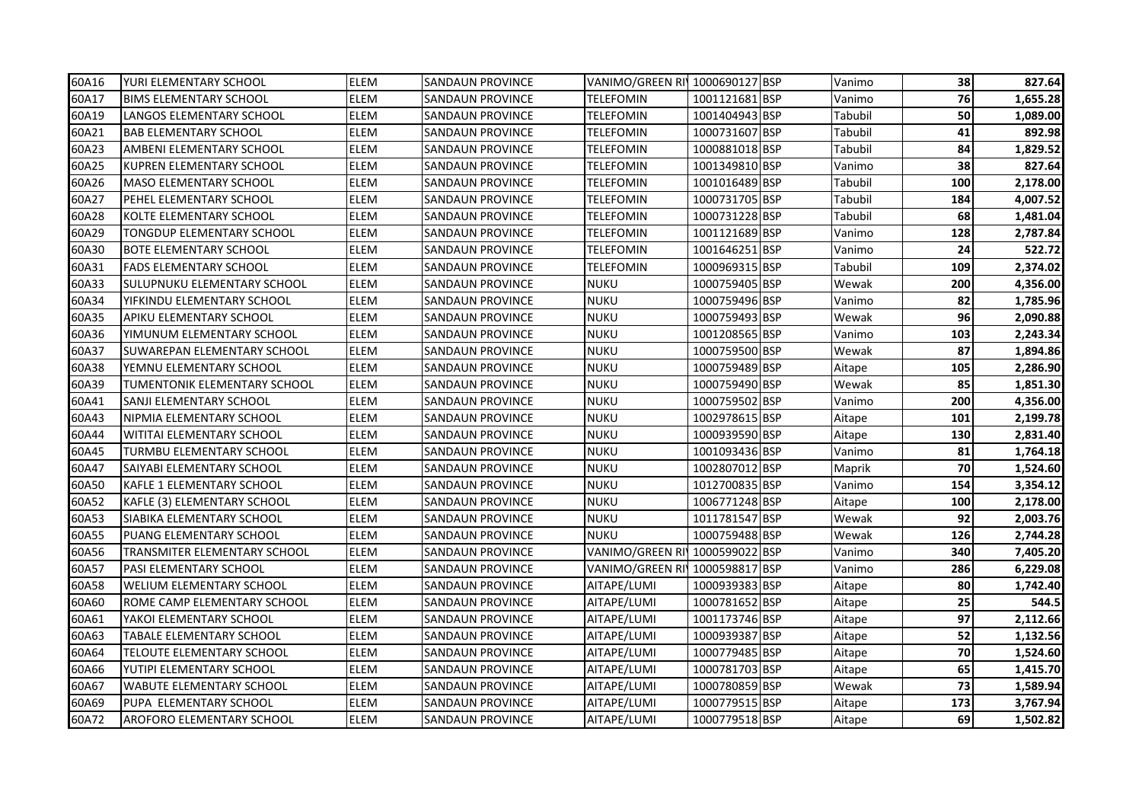| 60A16 | YURI ELEMENTARY SCHOOL              | <b>ELEM</b> | <b>SANDAUN PROVINCE</b> | VANIMO/GREEN RI 1000690127 BSP |                | Vanimo  | 38  | 827.64   |
|-------|-------------------------------------|-------------|-------------------------|--------------------------------|----------------|---------|-----|----------|
| 60A17 | <b>BIMS ELEMENTARY SCHOOL</b>       | <b>ELEM</b> | SANDAUN PROVINCE        | TELEFOMIN                      | 1001121681 BSP | Vanimo  | 76  | 1,655.28 |
| 60A19 | LANGOS ELEMENTARY SCHOOL            | <b>ELEM</b> | SANDAUN PROVINCE        | TELEFOMIN                      | 1001404943 BSP | Tabubil | 50  | 1,089.00 |
| 60A21 | <b>BAB ELEMENTARY SCHOOL</b>        | ELEM        | SANDAUN PROVINCE        | TELEFOMIN                      | 1000731607 BSP | Tabubil | 41  | 892.98   |
| 60A23 | AMBENI ELEMENTARY SCHOOL            | <b>ELEM</b> | <b>SANDAUN PROVINCE</b> | <b>TELEFOMIN</b>               | 1000881018 BSP | Tabubil | 84  | 1,829.52 |
| 60A25 | KUPREN ELEMENTARY SCHOOL            | <b>ELEM</b> | <b>SANDAUN PROVINCE</b> | <b>TELEFOMIN</b>               | 1001349810 BSP | Vanimo  | 38  | 827.64   |
| 60A26 | <b>MASO ELEMENTARY SCHOOL</b>       | <b>ELEM</b> | <b>SANDAUN PROVINCE</b> | TELEFOMIN                      | 1001016489 BSP | Tabubil | 100 | 2,178.00 |
| 60A27 | PEHEL ELEMENTARY SCHOOL             | <b>ELEM</b> | <b>SANDAUN PROVINCE</b> | <b>TELEFOMIN</b>               | 1000731705 BSP | Tabubil | 184 | 4,007.52 |
| 60A28 | KOLTE ELEMENTARY SCHOOL             | ELEM        | <b>SANDAUN PROVINCE</b> | <b>TELEFOMIN</b>               | 1000731228 BSP | Tabubil | 68  | 1,481.04 |
| 60A29 | <b>TONGDUP ELEMENTARY SCHOOL</b>    | ELEM        | SANDAUN PROVINCE        | TELEFOMIN                      | 1001121689 BSP | Vanimo  | 128 | 2,787.84 |
| 60A30 | <b>BOTE ELEMENTARY SCHOOL</b>       | ELEM        | SANDAUN PROVINCE        | <b>TELEFOMIN</b>               | 1001646251 BSP | Vanimo  | 24  | 522.72   |
| 60A31 | <b>FADS ELEMENTARY SCHOOL</b>       | ELEM        | <b>SANDAUN PROVINCE</b> | TELEFOMIN                      | 1000969315 BSP | Tabubil | 109 | 2,374.02 |
| 60A33 | SULUPNUKU ELEMENTARY SCHOOL         | ELEM        | SANDAUN PROVINCE        | NUKU                           | 1000759405 BSP | Wewak   | 200 | 4,356.00 |
| 60A34 | YIFKINDU ELEMENTARY SCHOOL          | ELEM        | SANDAUN PROVINCE        | NUKU                           | 1000759496 BSP | Vanimo  | 82  | 1,785.96 |
| 60A35 | <b>APIKU ELEMENTARY SCHOOL</b>      | ELEM        | SANDAUN PROVINCE        | <b>NUKU</b>                    | 1000759493 BSP | Wewak   | 96  | 2,090.88 |
| 60A36 | YIMUNUM ELEMENTARY SCHOOL           | <b>ELEM</b> | ISANDAUN PROVINCE       | <b>NUKU</b>                    | 1001208565 BSP | Vanimo  | 103 | 2,243.34 |
| 60A37 | SUWAREPAN ELEMENTARY SCHOOL         | ELEM        | <b>SANDAUN PROVINCE</b> | <b>NUKU</b>                    | 1000759500 BSP | Wewak   | 87  | 1,894.86 |
| 60A38 | YEMNU ELEMENTARY SCHOOL             | ELEM        | <b>SANDAUN PROVINCE</b> | <b>NUKU</b>                    | 1000759489 BSP | Aitape  | 105 | 2,286.90 |
| 60A39 | TUMENTONIK ELEMENTARY SCHOOL        | ELEM        | <b>SANDAUN PROVINCE</b> | <b>NUKU</b>                    | 1000759490 BSP | Wewak   | 85  | 1,851.30 |
| 60A41 | SANJI ELEMENTARY SCHOOL             | <b>ELEM</b> | <b>SANDAUN PROVINCE</b> | <b>NUKU</b>                    | 1000759502 BSP | Vanimo  | 200 | 4,356.00 |
| 60A43 | NIPMIA ELEMENTARY SCHOOL            | <b>ELEM</b> | <b>SANDAUN PROVINCE</b> | <b>NUKU</b>                    | 1002978615 BSP | Aitape  | 101 | 2,199.78 |
| 60A44 | WITITAI ELEMENTARY SCHOOL           | ELEM        | SANDAUN PROVINCE        | <b>NUKU</b>                    | 1000939590 BSP | Aitape  | 130 | 2,831.40 |
| 60A45 | TURMBU ELEMENTARY SCHOOL            | ELEM        | <b>SANDAUN PROVINCE</b> | <b>NUKU</b>                    | 1001093436 BSP | Vanimo  | 81  | 1,764.18 |
| 60A47 | SAIYABI ELEMENTARY SCHOOL           | ELEM        | SANDAUN PROVINCE        | NUKU                           | 1002807012 BSP | Maprik  | 70  | 1,524.60 |
| 60A50 | KAFLE 1 ELEMENTARY SCHOOL           | ELEM        | SANDAUN PROVINCE        | NUKU                           | 1012700835 BSP | Vanimo  | 154 | 3,354.12 |
| 60A52 | KAFLE (3) ELEMENTARY SCHOOL         | <b>ELEM</b> | SANDAUN PROVINCE        | <b>NUKU</b>                    | 1006771248 BSP | Aitape  | 100 | 2,178.00 |
| 60A53 | SIABIKA ELEMENTARY SCHOOL           | ELEM        | <b>SANDAUN PROVINCE</b> | <b>NUKU</b>                    | 1011781547 BSP | Wewak   | 92  | 2,003.76 |
| 60A55 | <b>PUANG ELEMENTARY SCHOOL</b>      | <b>ELEM</b> | <b>SANDAUN PROVINCE</b> | <b>NUKU</b>                    | 1000759488 BSP | Wewak   | 126 | 2,744.28 |
| 60A56 | <b>TRANSMITER ELEMENTARY SCHOOL</b> | ELEM        | <b>SANDAUN PROVINCE</b> | VANIMO/GREEN RI 1000599022 BSP |                | Vanimo  | 340 | 7,405.20 |
| 60A57 | <b>PASI ELEMENTARY SCHOOL</b>       | <b>ELEM</b> | <b>SANDAUN PROVINCE</b> | VANIMO/GREEN RI 1000598817 BSP |                | Vanimo  | 286 | 6,229.08 |
| 60A58 | WELIUM ELEMENTARY SCHOOL            | <b>ELEM</b> | <b>SANDAUN PROVINCE</b> | AITAPE/LUMI                    | 1000939383 BSP | Aitape  | 80  | 1,742.40 |
| 60A60 | ROME CAMP ELEMENTARY SCHOOL         | ELEM        | <b>SANDAUN PROVINCE</b> | AITAPE/LUMI                    | 1000781652 BSP | Aitape  | 25  | 544.5    |
| 60A61 | YAKOI ELEMENTARY SCHOOL             | ELEM        | <b>SANDAUN PROVINCE</b> | AITAPE/LUMI                    | 1001173746 BSP | Aitape  | 97  | 2,112.66 |
| 60A63 | TABALE ELEMENTARY SCHOOL            | ELEM        | SANDAUN PROVINCE        | AITAPE/LUMI                    | 1000939387 BSP | Aitape  | 52  | 1,132.56 |
| 60A64 | TELOUTE ELEMENTARY SCHOOL           | <b>ELEM</b> | SANDAUN PROVINCE        | AITAPE/LUMI                    | 1000779485 BSP | Aitape  | 70  | 1,524.60 |
| 60A66 | YUTIPI ELEMENTARY SCHOOL            | <b>ELEM</b> | SANDAUN PROVINCE        | AITAPE/LUMI                    | 1000781703 BSP | Aitape  | 65  | 1,415.70 |
| 60A67 | <b>WABUTE ELEMENTARY SCHOOL</b>     | ELEM        | SANDAUN PROVINCE        | AITAPE/LUMI                    | 1000780859 BSP | Wewak   | 73  | 1,589.94 |
| 60A69 | PUPA ELEMENTARY SCHOOL              | ELEM        | SANDAUN PROVINCE        | AITAPE/LUMI                    | 1000779515 BSP | Aitape  | 173 | 3,767.94 |
| 60A72 | AROFORO ELEMENTARY SCHOOL           | ELEM        | <b>SANDAUN PROVINCE</b> | AITAPE/LUMI                    | 1000779518 BSP | Aitape  | 69  | 1,502.82 |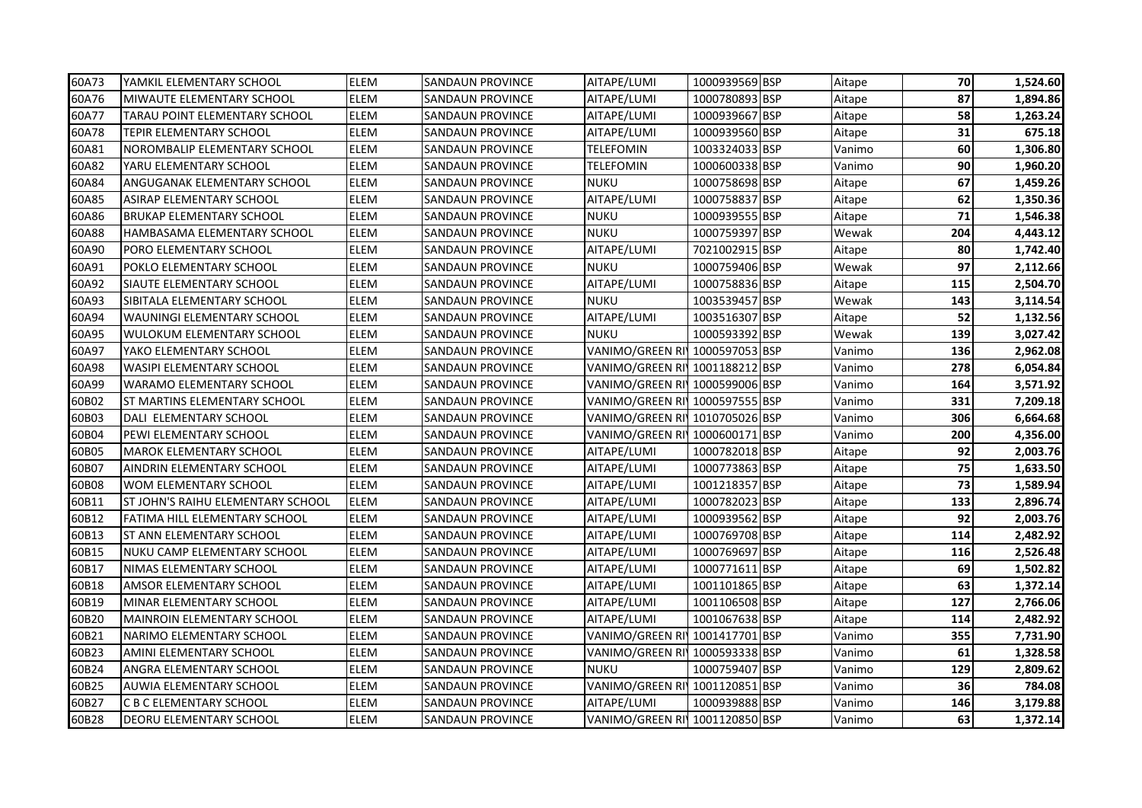| 60A73 | YAMKIL ELEMENTARY SCHOOL             | <b>ELEM</b> | <b>SANDAUN PROVINCE</b> | AITAPE/LUMI                    | 1000939569 BSP | Aitape | 70  | 1,524.60 |
|-------|--------------------------------------|-------------|-------------------------|--------------------------------|----------------|--------|-----|----------|
| 60A76 | MIWAUTE ELEMENTARY SCHOOL            | <b>ELEM</b> | SANDAUN PROVINCE        | AITAPE/LUMI                    | 1000780893 BSP | Aitape | 87  | 1,894.86 |
| 60A77 | <b>TARAU POINT ELEMENTARY SCHOOL</b> | <b>ELEM</b> | SANDAUN PROVINCE        | AITAPE/LUMI                    | 1000939667 BSP | Aitape | 58  | 1,263.24 |
| 60A78 | <b>TEPIR ELEMENTARY SCHOOL</b>       | ELEM        | SANDAUN PROVINCE        | AITAPE/LUMI                    | 1000939560 BSP | Aitape | 31  | 675.18   |
| 60A81 | NOROMBALIP ELEMENTARY SCHOOL         | <b>ELEM</b> | <b>SANDAUN PROVINCE</b> | <b>TELEFOMIN</b>               | 1003324033 BSP | Vanimo | 60  | 1,306.80 |
| 60A82 | YARU ELEMENTARY SCHOOL               | <b>ELEM</b> | <b>SANDAUN PROVINCE</b> | <b>TELEFOMIN</b>               | 1000600338 BSP | Vanimo | 90  | 1,960.20 |
| 60A84 | ANGUGANAK ELEMENTARY SCHOOL          | <b>ELEM</b> | <b>SANDAUN PROVINCE</b> | <b>NUKU</b>                    | 1000758698 BSP | Aitape | 67  | 1,459.26 |
| 60A85 | ASIRAP ELEMENTARY SCHOOL             | <b>ELEM</b> | <b>SANDAUN PROVINCE</b> | AITAPE/LUMI                    | 1000758837 BSP | Aitape | 62  | 1,350.36 |
| 60A86 | <b>BRUKAP ELEMENTARY SCHOOL</b>      | <b>ELEM</b> | <b>SANDAUN PROVINCE</b> | <b>NUKU</b>                    | 1000939555 BSP | Aitape | 71  | 1,546.38 |
| 60A88 | HAMBASAMA ELEMENTARY SCHOOL          | <b>ELEM</b> | SANDAUN PROVINCE        | NUKU                           | 1000759397 BSP | Wewak  | 204 | 4,443.12 |
| 60A90 | PORO ELEMENTARY SCHOOL               | <b>ELEM</b> | SANDAUN PROVINCE        | AITAPE/LUMI                    | 7021002915 BSP | Aitape | 80  | 1,742.40 |
| 60A91 | POKLO ELEMENTARY SCHOOL              | ELEM        | <b>SANDAUN PROVINCE</b> | <b>NUKU</b>                    | 1000759406 BSP | Wewak  | 97  | 2,112.66 |
| 60A92 | SIAUTE ELEMENTARY SCHOOL             | ELEM        | SANDAUN PROVINCE        | AITAPE/LUMI                    | 1000758836 BSP | Aitape | 115 | 2,504.70 |
| 60A93 | SIBITALA ELEMENTARY SCHOOL           | ELEM        | SANDAUN PROVINCE        | <b>NUKU</b>                    | 1003539457 BSP | Wewak  | 143 | 3,114.54 |
| 60A94 | <b>WAUNINGI ELEMENTARY SCHOOL</b>    | ELEM        | SANDAUN PROVINCE        | AITAPE/LUMI                    | 1003516307 BSP | Aitape | 52  | 1,132.56 |
| 60A95 | <b>WULOKUM ELEMENTARY SCHOOL</b>     | <b>ELEM</b> | <b>SANDAUN PROVINCE</b> | <b>NUKU</b>                    | 1000593392 BSP | Wewak  | 139 | 3,027.42 |
| 60A97 | YAKO ELEMENTARY SCHOOL               | ELEM        | <b>SANDAUN PROVINCE</b> | VANIMO/GREEN RI 1000597053 BSP |                | Vanimo | 136 | 2,962.08 |
| 60A98 | <b>WASIPI ELEMENTARY SCHOOL</b>      | <b>ELEM</b> | <b>SANDAUN PROVINCE</b> | VANIMO/GREEN RI 1001188212 BSP |                | Vanimo | 278 | 6,054.84 |
| 60A99 | <b>WARAMO ELEMENTARY SCHOOL</b>      | ELEM        | <b>SANDAUN PROVINCE</b> | VANIMO/GREEN RI 1000599006 BSP |                | Vanimo | 164 | 3,571.92 |
| 60B02 | <b>ST MARTINS ELEMENTARY SCHOOL</b>  | ELEM        | <b>SANDAUN PROVINCE</b> | VANIMO/GREEN RI 1000597555 BSP |                | Vanimo | 331 | 7,209.18 |
| 60B03 | DALI ELEMENTARY SCHOOL               | <b>ELEM</b> | <b>SANDAUN PROVINCE</b> | VANIMO/GREEN RI 1010705026 BSP |                | Vanimo | 306 | 6,664.68 |
| 60B04 | PEWI ELEMENTARY SCHOOL               | ELEM        | SANDAUN PROVINCE        | VANIMO/GREEN RI 1000600171 BSP |                | Vanimo | 200 | 4,356.00 |
| 60B05 | <b>MAROK ELEMENTARY SCHOOL</b>       | <b>ELEM</b> | <b>SANDAUN PROVINCE</b> | AITAPE/LUMI                    | 1000782018 BSP | Aitape | 92  | 2,003.76 |
| 60B07 | AINDRIN ELEMENTARY SCHOOL            | <b>ELEM</b> | SANDAUN PROVINCE        | AITAPE/LUMI                    | 1000773863 BSP | Aitape | 75  | 1,633.50 |
| 60B08 | WOM ELEMENTARY SCHOOL                | <b>ELEM</b> | SANDAUN PROVINCE        | AITAPE/LUMI                    | 1001218357 BSP | Aitape | 73  | 1,589.94 |
| 60B11 | ST JOHN'S RAIHU ELEMENTARY SCHOOL    | <b>ELEM</b> | SANDAUN PROVINCE        | AITAPE/LUMI                    | 1000782023 BSP | Aitape | 133 | 2,896.74 |
| 60B12 | FATIMA HILL ELEMENTARY SCHOOL        | <b>ELEM</b> | <b>SANDAUN PROVINCE</b> | AITAPE/LUMI                    | 1000939562 BSP | Aitape | 92  | 2,003.76 |
| 60B13 | <b>ST ANN ELEMENTARY SCHOOL</b>      | <b>ELEM</b> | <b>SANDAUN PROVINCE</b> | AITAPE/LUMI                    | 1000769708 BSP | Aitape | 114 | 2,482.92 |
| 60B15 | INUKU CAMP ELEMENTARY SCHOOL         | ELEM        | <b>SANDAUN PROVINCE</b> | AITAPE/LUMI                    | 1000769697 BSP | Aitape | 116 | 2,526.48 |
| 60B17 | NIMAS ELEMENTARY SCHOOL              | <b>ELEM</b> | <b>SANDAUN PROVINCE</b> | AITAPE/LUMI                    | 1000771611 BSP | Aitape | 69  | 1,502.82 |
| 60B18 | AMSOR ELEMENTARY SCHOOL              | <b>ELEM</b> | <b>SANDAUN PROVINCE</b> | AITAPE/LUMI                    | 1001101865 BSP | Aitape | 63  | 1,372.14 |
| 60B19 | MINAR ELEMENTARY SCHOOL              | ELEM        | <b>SANDAUN PROVINCE</b> | AITAPE/LUMI                    | 1001106508 BSP | Aitape | 127 | 2,766.06 |
| 60B20 | <b>MAINROIN ELEMENTARY SCHOOL</b>    | ELEM        | <b>SANDAUN PROVINCE</b> | AITAPE/LUMI                    | 1001067638 BSP | Aitape | 114 | 2,482.92 |
| 60B21 | NARIMO ELEMENTARY SCHOOL             | ELEM        | SANDAUN PROVINCE        | VANIMO/GREEN RI¶1001417701 BSP |                | Vanimo | 355 | 7,731.90 |
| 60B23 | AMINI ELEMENTARY SCHOOL              | <b>ELEM</b> | SANDAUN PROVINCE        | VANIMO/GREEN RI'               | 1000593338 BSP | Vanimo | 61  | 1,328.58 |
| 60B24 | ANGRA ELEMENTARY SCHOOL              | <b>ELEM</b> | SANDAUN PROVINCE        | <b>NUKU</b>                    | 1000759407 BSP | Vanimo | 129 | 2,809.62 |
| 60B25 | AUWIA ELEMENTARY SCHOOL              | ELEM        | SANDAUN PROVINCE        | VANIMO/GREEN RI 1001120851 BSP |                | Vanimo | 36  | 784.08   |
| 60B27 | C B C ELEMENTARY SCHOOL              | ELEM        | SANDAUN PROVINCE        | AITAPE/LUMI                    | 1000939888 BSP | Vanimo | 146 | 3,179.88 |
| 60B28 | <b>IDEORU ELEMENTARY SCHOOL</b>      | ELEM        | <b>SANDAUN PROVINCE</b> | VANIMO/GREEN RI 1001120850 BSP |                | Vanimo | 63  | 1,372.14 |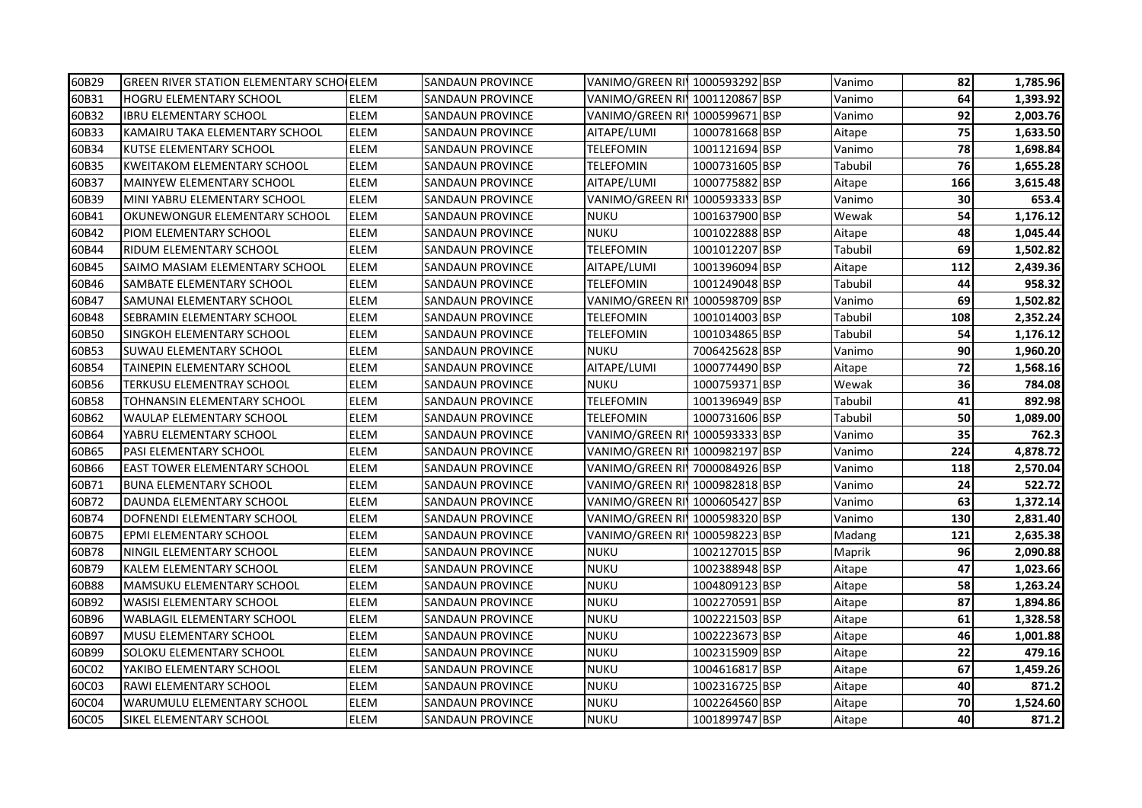| 60B29 | <b>GREEN RIVER STATION ELEMENTARY SCHO ELEM</b> |             | <b>SANDAUN PROVINCE</b> | VANIMO/GREEN RI 1000593292 BSP |                | Vanimo  | 82  | 1,785.96 |
|-------|-------------------------------------------------|-------------|-------------------------|--------------------------------|----------------|---------|-----|----------|
| 60B31 | <b>HOGRU ELEMENTARY SCHOOL</b>                  | ELEM        | SANDAUN PROVINCE        | VANIMO/GREEN RI 1001120867 BSP |                | Vanimo  | 64  | 1,393.92 |
| 60B32 | <b>IBRU ELEMENTARY SCHOOL</b>                   | <b>ELEM</b> | <b>SANDAUN PROVINCE</b> | VANIMO/GREEN RI 1000599671 BSP |                | Vanimo  | 92  | 2.003.76 |
| 60B33 | KAMAIRU TAKA ELEMENTARY SCHOOL                  | ELEM        | <b>SANDAUN PROVINCE</b> | AITAPE/LUMI                    | 1000781668 BSP | Aitape  | 75  | 1,633.50 |
| 60B34 | KUTSE ELEMENTARY SCHOOL                         | ELEM        | <b>SANDAUN PROVINCE</b> | TELEFOMIN                      | 1001121694 BSP | Vanimo  | 78  | 1,698.84 |
| 60B35 | <b>KWEITAKOM ELEMENTARY SCHOOL</b>              | ELEM        | <b>SANDAUN PROVINCE</b> | <b>TELEFOMIN</b>               | 1000731605 BSP | Tabubil | 76  | 1,655.28 |
| 60B37 | MAINYEW ELEMENTARY SCHOOL                       | ELEM        | <b>SANDAUN PROVINCE</b> | AITAPE/LUMI                    | 1000775882 BSP | Aitape  | 166 | 3,615.48 |
| 60B39 | MINI YABRU ELEMENTARY SCHOOL                    | <b>ELEM</b> | SANDAUN PROVINCE        | VANIMO/GREEN RI                | 1000593333 BSP | Vanimo  | 30  | 653.4    |
| 60B41 | OKUNEWONGUR ELEMENTARY SCHOOL                   | <b>ELEM</b> | <b>SANDAUN PROVINCE</b> | <b>NUKU</b>                    | 1001637900 BSP | Wewak   | 54  | 1,176.12 |
| 60B42 | <b>PIOM ELEMENTARY SCHOOL</b>                   | ELEM        | <b>SANDAUN PROVINCE</b> | <b>NUKU</b>                    | 1001022888 BSP | Aitape  | 48  | 1,045.44 |
| 60B44 | <b>RIDUM ELEMENTARY SCHOOL</b>                  | ELEM        | SANDAUN PROVINCE        | TELEFOMIN                      | 1001012207 BSP | Tabubil | 69  | 1,502.82 |
| 60B45 | SAIMO MASIAM ELEMENTARY SCHOOL                  | ELEM        | SANDAUN PROVINCE        | AITAPE/LUMI                    | 1001396094 BSP | Aitape  | 112 | 2,439.36 |
| 60B46 | SAMBATE ELEMENTARY SCHOOL                       | ELEM        | SANDAUN PROVINCE        | TELEFOMIN                      | 1001249048 BSP | Tabubil | 44  | 958.32   |
| 60B47 | SAMUNAI ELEMENTARY SCHOOL                       | ELEM        | SANDAUN PROVINCE        | VANIMO/GREEN RI 1000598709 BSP |                | Vanimo  | 69  | 1,502.82 |
| 60B48 | SEBRAMIN ELEMENTARY SCHOOL                      | ELEM        | SANDAUN PROVINCE        | TELEFOMIN                      | 1001014003 BSP | Tabubil | 108 | 2,352.24 |
| 60B50 | <b>SINGKOH ELEMENTARY SCHOOL</b>                | ELEM        | <b>SANDAUN PROVINCE</b> | TELEFOMIN                      | 1001034865 BSP | Tabubil | 54  | 1,176.12 |
| 60B53 | SUWAU ELEMENTARY SCHOOL                         | <b>ELEM</b> | <b>SANDAUN PROVINCE</b> | NUKU                           | 7006425628 BSP | Vanimo  | 90  | 1,960.20 |
| 60B54 | TAINEPIN ELEMENTARY SCHOOL                      | ELEM        | <b>SANDAUN PROVINCE</b> | AITAPE/LUMI                    | 1000774490 BSP | Aitape  | 72  | 1,568.16 |
| 60B56 | TERKUSU ELEMENTRAY SCHOOL                       | <b>ELEM</b> | <b>SANDAUN PROVINCE</b> | NUKU                           | 1000759371 BSP | Wewak   | 36  | 784.08   |
| 60B58 | TOHNANSIN ELEMENTARY SCHOOL                     | ELEM        | <b>SANDAUN PROVINCE</b> | <b>TELEFOMIN</b>               | 1001396949 BSP | Tabubil | 41  | 892.98   |
| 60B62 | <b>WAULAP ELEMENTARY SCHOOL</b>                 | ELEM        | SANDAUN PROVINCE        | TELEFOMIN                      | 1000731606 BSP | Tabubil | 50  | 1,089.00 |
| 60B64 | YABRU ELEMENTARY SCHOOL                         | ELEM        | SANDAUN PROVINCE        | VANIMO/GREEN RI¶1000593333 BSP |                | Vanimo  | 35  | 762.3    |
| 60B65 | <b>PASI ELEMENTARY SCHOOL</b>                   | <b>ELEM</b> | SANDAUN PROVINCE        | VANIMO/GREEN RI 1000982197 BSP |                | Vanimo  | 224 | 4,878.72 |
| 60B66 | <b>EAST TOWER ELEMENTARY SCHOOL</b>             | ELEM        | SANDAUN PROVINCE        | VANIMO/GREEN RI 7000084926 BSP |                | Vanimo  | 118 | 2,570.04 |
| 60B71 | <b>BUNA ELEMENTARY SCHOOL</b>                   | ELEM        | SANDAUN PROVINCE        | VANIMO/GREEN RI 1000982818 BSP |                | Vanimo  | 24  | 522.72   |
| 60B72 | DAUNDA ELEMENTARY SCHOOL                        | ELEM        | SANDAUN PROVINCE        | VANIMO/GREEN RI 1000605427 BSP |                | Vanimo  | 63  | 1,372.14 |
| 60B74 | DOFNENDI ELEMENTARY SCHOOL                      | ELEM        | <b>SANDAUN PROVINCE</b> | VANIMO/GREEN RI 1000598320 BSP |                | Vanimo  | 130 | 2,831.40 |
| 60B75 | <b>EPMI ELEMENTARY SCHOOL</b>                   | ELEM        | <b>SANDAUN PROVINCE</b> | VANIMO/GREEN RI 1000598223 BSP |                | Madang  | 121 | 2,635.38 |
| 60B78 | NINGIL ELEMENTARY SCHOOL                        | ELEM        | SANDAUN PROVINCE        | NUKU                           | 1002127015 BSP | Maprik  | 96  | 2,090.88 |
| 60B79 | <b>KALEM ELEMENTARY SCHOOL</b>                  | <b>ELEM</b> | <b>SANDAUN PROVINCE</b> | NUKU                           | 1002388948 BSP | Aitape  | 47  | 1,023.66 |
| 60B88 | <b>MAMSUKU ELEMENTARY SCHOOL</b>                | ELEM        | SANDAUN PROVINCE        | NUKU                           | 1004809123 BSP | Aitape  | 58  | 1,263.24 |
| 60B92 | <b>WASISI ELEMENTARY SCHOOL</b>                 | ELEM        | <b>SANDAUN PROVINCE</b> | <b>NUKU</b>                    | 1002270591 BSP | Aitape  | 87  | 1,894.86 |
| 60B96 | <b>WABLAGIL ELEMENTARY SCHOOL</b>               | ELEM        | SANDAUN PROVINCE        | NUKU                           | 1002221503 BSP | Aitape  | 61  | 1,328.58 |
| 60B97 | <b>MUSU ELEMENTARY SCHOOL</b>                   | ELEM        | SANDAUN PROVINCE        | NUKU                           | 1002223673 BSP | Aitape  | 46  | 1,001.88 |
| 60B99 | SOLOKU ELEMENTARY SCHOOL                        | ELEM        | SANDAUN PROVINCE        | <b>NUKU</b>                    | 1002315909 BSP | Aitape  | 22  | 479.16   |
| 60C02 | YAKIBO ELEMENTARY SCHOOL                        | ELEM        | SANDAUN PROVINCE        | NUKU                           | 1004616817 BSP | Aitape  | 67  | 1,459.26 |
| 60C03 | <b>RAWI ELEMENTARY SCHOOL</b>                   | ELEM        | <b>SANDAUN PROVINCE</b> | <b>NUKU</b>                    | 1002316725 BSP | Aitape  | 40  | 871.2    |
| 60C04 | WARUMULU ELEMENTARY SCHOOL                      | ELEM        | <b>SANDAUN PROVINCE</b> | <b>NUKU</b>                    | 1002264560 BSP | Aitape  | 70  | 1,524.60 |
| 60C05 | SIKEL ELEMENTARY SCHOOL                         | ELEM        | <b>SANDAUN PROVINCE</b> | <b>NUKU</b>                    | 1001899747 BSP | Aitape  | 40  | 871.2    |
|       |                                                 |             |                         |                                |                |         |     |          |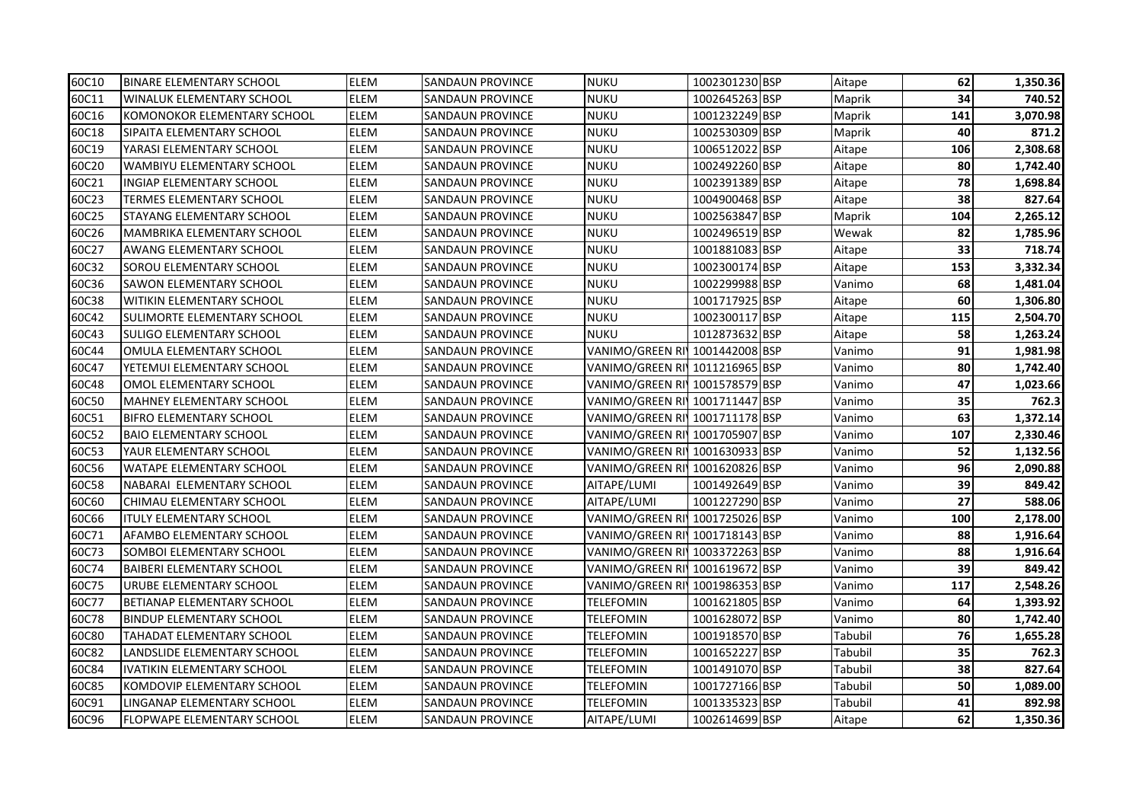| 60C10 | <b>BINARE ELEMENTARY SCHOOL</b>    | <b>ELEM</b> | <b>SANDAUN PROVINCE</b> | <b>NUKU</b>                    | 1002301230 BSP | Aitape  | 62  | 1,350.36 |
|-------|------------------------------------|-------------|-------------------------|--------------------------------|----------------|---------|-----|----------|
| 60C11 | <b>WINALUK ELEMENTARY SCHOOL</b>   | ELEM        | SANDAUN PROVINCE        | NUKU                           | 1002645263 BSP | Maprik  | 34  | 740.52   |
| 60C16 | <b>KOMONOKOR ELEMENTARY SCHOOL</b> | <b>ELEM</b> | SANDAUN PROVINCE        | <b>NUKU</b>                    | 1001232249 BSP | Maprik  | 141 | 3,070.98 |
| 60C18 | SIPAITA ELEMENTARY SCHOOL          | <b>ELEM</b> | <b>SANDAUN PROVINCE</b> | <b>NUKU</b>                    | 1002530309 BSP | Maprik  | 40  | 871.2    |
| 60C19 | YARASI ELEMENTARY SCHOOL           | ELEM        | <b>SANDAUN PROVINCE</b> | <b>NUKU</b>                    | 1006512022 BSP | Aitape  | 106 | 2,308.68 |
| 60C20 | <b>WAMBIYU ELEMENTARY SCHOOL</b>   | <b>ELEM</b> | <b>SANDAUN PROVINCE</b> | <b>NUKU</b>                    | 1002492260 BSP | Aitape  | 80  | 1,742.40 |
| 60C21 | <b>INGIAP ELEMENTARY SCHOOL</b>    | ELEM        | <b>SANDAUN PROVINCE</b> | <b>NUKU</b>                    | 1002391389 BSP | Aitape  | 78  | 1,698.84 |
| 60C23 | <b>TERMES ELEMENTARY SCHOOL</b>    | ELEM        | <b>SANDAUN PROVINCE</b> | <b>NUKU</b>                    | 1004900468 BSP | Aitape  | 38  | 827.64   |
| 60C25 | STAYANG ELEMENTARY SCHOOL          | <b>ELEM</b> | SANDAUN PROVINCE        | NUKU                           | 1002563847 BSP | Maprik  | 104 | 2,265.12 |
| 60C26 | <b>MAMBRIKA ELEMENTARY SCHOOL</b>  | ELEM        | SANDAUN PROVINCE        | NUKU                           | 1002496519 BSP | Wewak   | 82  | 1,785.96 |
| 60C27 | <b>AWANG ELEMENTARY SCHOOL</b>     | ELEM        | SANDAUN PROVINCE        | <b>NUKU</b>                    | 1001881083 BSP | Aitape  | 33  | 718.74   |
| 60C32 | SOROU ELEMENTARY SCHOOL            | <b>ELEM</b> | SANDAUN PROVINCE        | NUKU                           | 1002300174 BSP | Aitape  | 153 | 3,332.34 |
| 60C36 | <b>SAWON ELEMENTARY SCHOOL</b>     | ELEM        | SANDAUN PROVINCE        | <b>NUKU</b>                    | 1002299988 BSP | Vanimo  | 68  | 1,481.04 |
| 60C38 | WITIKIN ELEMENTARY SCHOOL          | <b>ELEM</b> | SANDAUN PROVINCE        | <b>NUKU</b>                    | 1001717925 BSP | Aitape  | 60  | 1,306.80 |
| 60C42 | SULIMORTE ELEMENTARY SCHOOL        | <b>ELEM</b> | SANDAUN PROVINCE        | <b>NUKU</b>                    | 1002300117 BSP | Aitape  | 115 | 2,504.70 |
| 60C43 | <b>SULIGO ELEMENTARY SCHOOL</b>    | ELEM        | <b>SANDAUN PROVINCE</b> | <b>NUKU</b>                    | 1012873632 BSP | Aitape  | 58  | 1,263.24 |
| 60C44 | OMULA ELEMENTARY SCHOOL            | ELEM        | <b>SANDAUN PROVINCE</b> | VANIMO/GREEN RI 1001442008 BSP |                | Vanimo  | 91  | 1,981.98 |
| 60C47 | YETEMUI ELEMENTARY SCHOOL          | ELEM        | <b>SANDAUN PROVINCE</b> | VANIMO/GREEN RI 1011216965 BSP |                | Vanimo  | 80  | 1,742.40 |
| 60C48 | OMOL ELEMENTARY SCHOOL             | ELEM        | <b>SANDAUN PROVINCE</b> | VANIMO/GREEN RI 1001578579 BSP |                | Vanimo  | 47  | 1,023.66 |
| 60C50 | <b>MAHNEY ELEMENTARY SCHOOL</b>    | <b>ELEM</b> | <b>SANDAUN PROVINCE</b> | VANIMO/GREEN RI 1001711447 BSP |                | Vanimo  | 35  | 762.3    |
| 60C51 | <b>BIFRO ELEMENTARY SCHOOL</b>     | ELEM        | SANDAUN PROVINCE        | VANIMO/GREEN RI 1001711178 BSP |                | Vanimo  | 63  | 1,372.14 |
| 60C52 | <b>BAIO ELEMENTARY SCHOOL</b>      | ELEM        | SANDAUN PROVINCE        | VANIMO/GREEN RI 1001705907 BSP |                | Vanimo  | 107 | 2,330.46 |
| 60C53 | YAUR ELEMENTARY SCHOOL             | ELEM        | <b>SANDAUN PROVINCE</b> | VANIMO/GREEN RI 1001630933 BSP |                | Vanimo  | 52  | 1,132.56 |
| 60C56 | <b>WATAPE ELEMENTARY SCHOOL</b>    | ELEM        | SANDAUN PROVINCE        | VANIMO/GREEN RI 1001620826 BSP |                | Vanimo  | 96  | 2,090.88 |
| 60C58 | NABARAI ELEMENTARY SCHOOL          | ELEM        | SANDAUN PROVINCE        | AITAPE/LUMI                    | 1001492649 BSP | Vanimo  | 39  | 849.42   |
| 60C60 | CHIMAU ELEMENTARY SCHOOL           | ELEM        | SANDAUN PROVINCE        | AITAPE/LUMI                    | 1001227290 BSP | Vanimo  | 27  | 588.06   |
| 60C66 | <b>ITULY ELEMENTARY SCHOOL</b>     | ELEM        | <b>SANDAUN PROVINCE</b> | VANIMO/GREEN RI 1001725026 BSP |                | Vanimo  | 100 | 2,178.00 |
| 60C71 | AFAMBO ELEMENTARY SCHOOL           | <b>ELEM</b> | <b>SANDAUN PROVINCE</b> | VANIMO/GREEN RI 1001718143 BSP |                | Vanimo  | 88  | 1,916.64 |
| 60C73 | SOMBOI ELEMENTARY SCHOOL           | ELEM        | <b>SANDAUN PROVINCE</b> | VANIMO/GREEN RI 1003372263 BSP |                | Vanimo  | 88  | 1,916.64 |
| 60C74 | <b>BAIBERI ELEMENTARY SCHOOL</b>   | ELEM        | <b>SANDAUN PROVINCE</b> | VANIMO/GREEN RI 1001619672 BSP |                | Vanimo  | 39  | 849.42   |
| 60C75 | URUBE ELEMENTARY SCHOOL            | ELEM        | <b>SANDAUN PROVINCE</b> | VANIMO/GREEN RI                | 1001986353 BSP | Vanimo  | 117 | 2,548.26 |
| 60C77 | <b>BETIANAP ELEMENTARY SCHOOL</b>  | ELEM        | <b>SANDAUN PROVINCE</b> | <b>TELEFOMIN</b>               | 1001621805 BSP | Vanimo  | 64  | 1,393.92 |
| 60C78 | <b>BINDUP ELEMENTARY SCHOOL</b>    | ELEM        | <b>SANDAUN PROVINCE</b> | <b>TELEFOMIN</b>               | 1001628072 BSP | Vanimo  | 80  | 1,742.40 |
| 60C80 | TAHADAT ELEMENTARY SCHOOL          | ELEM        | <b>SANDAUN PROVINCE</b> | TELEFOMIN                      | 1001918570 BSP | Tabubil | 76  | 1,655.28 |
| 60C82 | LANDSLIDE ELEMENTARY SCHOOL        | <b>ELEM</b> | SANDAUN PROVINCE        | TELEFOMIN                      | 1001652227 BSP | Tabubil | 35  | 762.3    |
| 60C84 | <b>IVATIKIN ELEMENTARY SCHOOL</b>  | <b>ELEM</b> | SANDAUN PROVINCE        | TELEFOMIN                      | 1001491070 BSP | Tabubil | 38  | 827.64   |
| 60C85 | KOMDOVIP ELEMENTARY SCHOOL         | ELEM        | <b>SANDAUN PROVINCE</b> | <b>TELEFOMIN</b>               | 1001727166 BSP | Tabubil | 50  | 1,089.00 |
| 60C91 | LINGANAP ELEMENTARY SCHOOL         | ELEM        | SANDAUN PROVINCE        | TELEFOMIN                      | 1001335323 BSP | Tabubil | 41  | 892.98   |
| 60C96 | FLOPWAPE ELEMENTARY SCHOOL         | <b>ELEM</b> | <b>SANDAUN PROVINCE</b> | AITAPE/LUMI                    | 1002614699 BSP | Aitape  | 62  | 1,350.36 |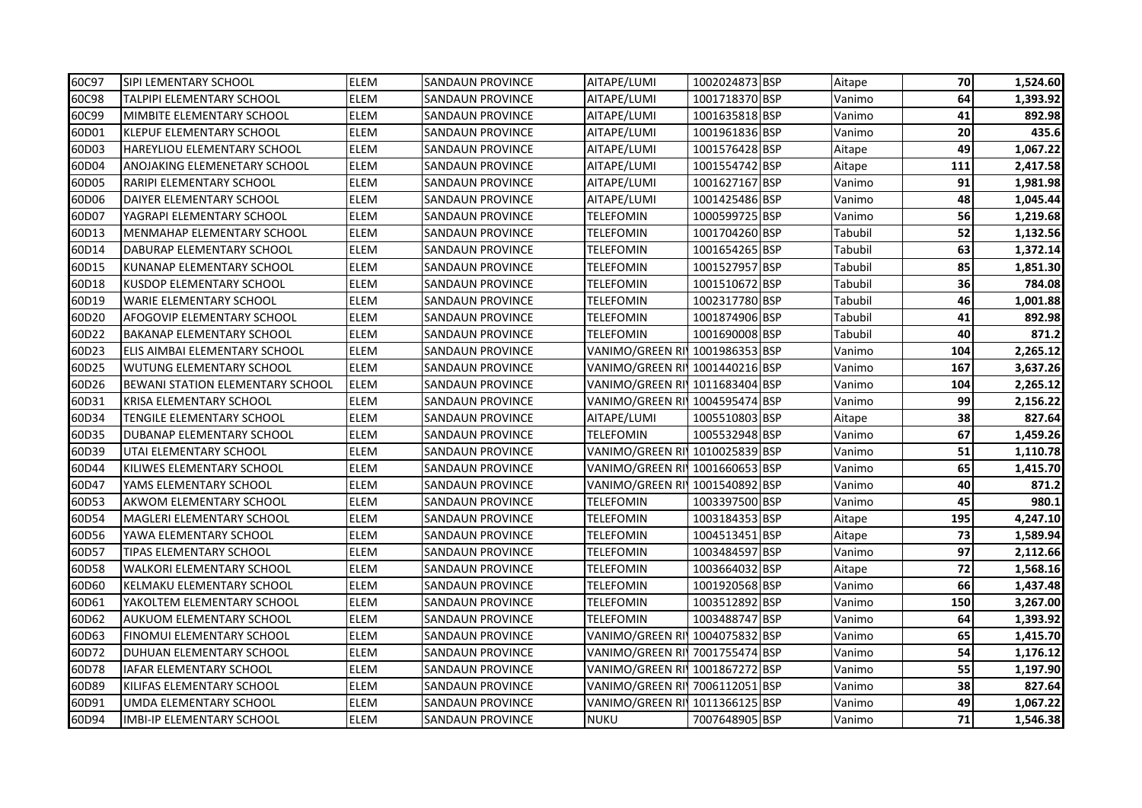| 60C97 | SIPI LEMENTARY SCHOOL              | <b>ELEM</b> | <b>SANDAUN PROVINCE</b> | AITAPE/LUMI                    | 1002024873 BSP | Aitape  | 70  | 1,524.60 |
|-------|------------------------------------|-------------|-------------------------|--------------------------------|----------------|---------|-----|----------|
| 60C98 | TALPIPI ELEMENTARY SCHOOL          | ELEM        | SANDAUN PROVINCE        | AITAPE/LUMI                    | 1001718370 BSP | Vanimo  | 64  | 1,393.92 |
| 60C99 | MIMBITE ELEMENTARY SCHOOL          | <b>ELEM</b> | SANDAUN PROVINCE        | AITAPE/LUMI                    | 1001635818 BSP | Vanimo  | 41  | 892.98   |
| 60D01 | <b>KLEPUF ELEMENTARY SCHOOL</b>    | <b>ELEM</b> | <b>SANDAUN PROVINCE</b> | AITAPE/LUMI                    | 1001961836 BSP | Vanimo  | 20  | 435.6    |
| 60D03 | <b>HAREYLIOU ELEMENTARY SCHOOL</b> | ELEM        | <b>SANDAUN PROVINCE</b> | AITAPE/LUMI                    | 1001576428 BSP | Aitape  | 49  | 1,067.22 |
| 60D04 | ANOJAKING ELEMENETARY SCHOOL       | <b>ELEM</b> | <b>SANDAUN PROVINCE</b> | AITAPE/LUMI                    | 1001554742 BSP | Aitape  | 111 | 2,417.58 |
| 60D05 | RARIPI ELEMENTARY SCHOOL           | ELEM        | <b>SANDAUN PROVINCE</b> | AITAPE/LUMI                    | 1001627167 BSP | Vanimo  | 91  | 1,981.98 |
| 60D06 | DAIYER ELEMENTARY SCHOOL           | ELEM        | <b>SANDAUN PROVINCE</b> | AITAPE/LUMI                    | 1001425486 BSP | Vanimo  | 48  | 1,045.44 |
| 60D07 | YAGRAPI ELEMENTARY SCHOOL          | <b>ELEM</b> | SANDAUN PROVINCE        | <b>TELEFOMIN</b>               | 1000599725 BSP | Vanimo  | 56  | 1,219.68 |
| 60D13 | <b>MENMAHAP ELEMENTARY SCHOOL</b>  | ELEM        | SANDAUN PROVINCE        | TELEFOMIN                      | 1001704260 BSP | Tabubil | 52  | 1,132.56 |
| 60D14 | DABURAP ELEMENTARY SCHOOL          | ELEM        | SANDAUN PROVINCE        | TELEFOMIN                      | 1001654265 BSP | Tabubil | 63  | 1,372.14 |
| 60D15 | KUNANAP ELEMENTARY SCHOOL          | ELEM        | SANDAUN PROVINCE        | TELEFOMIN                      | 1001527957 BSP | Tabubil | 85  | 1,851.30 |
| 60D18 | KUSDOP ELEMENTARY SCHOOL           | ELEM        | SANDAUN PROVINCE        | TELEFOMIN                      | 1001510672 BSP | Tabubil | 36  | 784.08   |
| 60D19 | WARIE ELEMENTARY SCHOOL            | <b>ELEM</b> | SANDAUN PROVINCE        | TELEFOMIN                      | 1002317780 BSP | Tabubil | 46  | 1,001.88 |
| 60D20 | AFOGOVIP ELEMENTARY SCHOOL         | <b>ELEM</b> | SANDAUN PROVINCE        | TELEFOMIN                      | 1001874906 BSP | Tabubil | 41  | 892.98   |
| 60D22 | <b>BAKANAP ELEMENTARY SCHOOL</b>   | ELEM        | <b>SANDAUN PROVINCE</b> | <b>TELEFOMIN</b>               | 1001690008 BSP | Tabubil | 40  | 871.2    |
| 60D23 | ELIS AIMBAI ELEMENTARY SCHOOL      | ELEM        | <b>SANDAUN PROVINCE</b> | VANIMO/GREEN RI 1001986353 BSP |                | Vanimo  | 104 | 2,265.12 |
| 60D25 | <b>WUTUNG ELEMENTARY SCHOOL</b>    | <b>ELEM</b> | <b>SANDAUN PROVINCE</b> | VANIMO/GREEN RI 1001440216 BSP |                | Vanimo  | 167 | 3,637.26 |
| 60D26 | BEWANI STATION ELEMENTARY SCHOOL   | <b>ELEM</b> | <b>SANDAUN PROVINCE</b> | VANIMO/GREEN RI 1011683404 BSP |                | Vanimo  | 104 | 2,265.12 |
| 60D31 | KRISA ELEMENTARY SCHOOL            | <b>ELEM</b> | <b>SANDAUN PROVINCE</b> | VANIMO/GREEN RI 1004595474 BSP |                | Vanimo  | 99  | 2,156.22 |
| 60D34 | TENGILE ELEMENTARY SCHOOL          | ELEM        | SANDAUN PROVINCE        | AITAPE/LUMI                    | 1005510803 BSP | Aitape  | 38  | 827.64   |
| 60D35 | DUBANAP ELEMENTARY SCHOOL          | ELEM        | SANDAUN PROVINCE        | <b>TELEFOMIN</b>               | 1005532948 BSP | Vanimo  | 67  | 1,459.26 |
| 60D39 | UTAI ELEMENTARY SCHOOL             | ELEM        | <b>SANDAUN PROVINCE</b> | VANIMO/GREEN RI 1010025839 BSP |                | Vanimo  | 51  | 1,110.78 |
| 60D44 | KILIWES ELEMENTARY SCHOOL          | ELEM        | SANDAUN PROVINCE        | VANIMO/GREEN RI 1001660653 BSP |                | Vanimo  | 65  | 1,415.70 |
| 60D47 | YAMS ELEMENTARY SCHOOL             | ELEM        | SANDAUN PROVINCE        | VANIMO/GREEN RI'               | 1001540892 BSP | Vanimo  | 40  | 871.2    |
| 60D53 | AKWOM ELEMENTARY SCHOOL            | ELEM        | SANDAUN PROVINCE        | <b>TELEFOMIN</b>               | 1003397500 BSP | Vanimo  | 45  | 980.1    |
| 60D54 | <b>MAGLERI ELEMENTARY SCHOOL</b>   | ELEM        | <b>SANDAUN PROVINCE</b> | <b>TELEFOMIN</b>               | 1003184353 BSP | Aitape  | 195 | 4,247.10 |
| 60D56 | YAWA ELEMENTARY SCHOOL             | <b>ELEM</b> | <b>SANDAUN PROVINCE</b> | <b>TELEFOMIN</b>               | 1004513451 BSP | Aitape  | 73  | 1,589.94 |
| 60D57 | <b>TIPAS ELEMENTARY SCHOOL</b>     | ELEM        | <b>SANDAUN PROVINCE</b> | <b>TELEFOMIN</b>               | 1003484597 BSP | Vanimo  | 97  | 2,112.66 |
| 60D58 | <b>WALKORI ELEMENTARY SCHOOL</b>   | ELEM        | <b>SANDAUN PROVINCE</b> | <b>TELEFOMIN</b>               | 1003664032 BSP | Aitape  | 72  | 1,568.16 |
| 60D60 | KELMAKU ELEMENTARY SCHOOL          | ELEM        | <b>SANDAUN PROVINCE</b> | <b>TELEFOMIN</b>               | 1001920568 BSP | Vanimo  | 66  | 1,437.48 |
| 60D61 | YAKOLTEM ELEMENTARY SCHOOL         | ELEM        | <b>SANDAUN PROVINCE</b> | <b>TELEFOMIN</b>               | 1003512892 BSP | Vanimo  | 150 | 3,267.00 |
| 60D62 | <b>AUKUOM ELEMENTARY SCHOOL</b>    | ELEM        | <b>SANDAUN PROVINCE</b> | <b>TELEFOMIN</b>               | 1003488747 BSP | Vanimo  | 64  | 1,393.92 |
| 60D63 | <b>FINOMUI ELEMENTARY SCHOOL</b>   | ELEM        | SANDAUN PROVINCE        | VANIMO/GREEN RI 1004075832 BSP |                | Vanimo  | 65  | 1,415.70 |
| 60D72 | DUHUAN ELEMENTARY SCHOOL           | <b>ELEM</b> | SANDAUN PROVINCE        | VANIMO/GREEN RI 7001755474 BSP |                | Vanimo  | 54  | 1,176.12 |
| 60D78 | IAFAR ELEMENTARY SCHOOL            | <b>ELEM</b> | SANDAUN PROVINCE        | VANIMO/GREEN RI 1001867272 BSP |                | Vanimo  | 55  | 1,197.90 |
| 60D89 | KILIFAS ELEMENTARY SCHOOL          | ELEM        | SANDAUN PROVINCE        | VANIMO/GREEN RI 7006112051 BSP |                | Vanimo  | 38  | 827.64   |
| 60D91 | UMDA ELEMENTARY SCHOOL             | ELEM        | SANDAUN PROVINCE        | VANIMO/GREEN RI 1011366125 BSP |                | Vanimo  | 49  | 1,067.22 |
| 60D94 | IMBI-IP ELEMENTARY SCHOOL          | <b>ELEM</b> | <b>SANDAUN PROVINCE</b> | <b>NUKU</b>                    | 7007648905 BSP | Vanimo  | 71  | 1,546.38 |